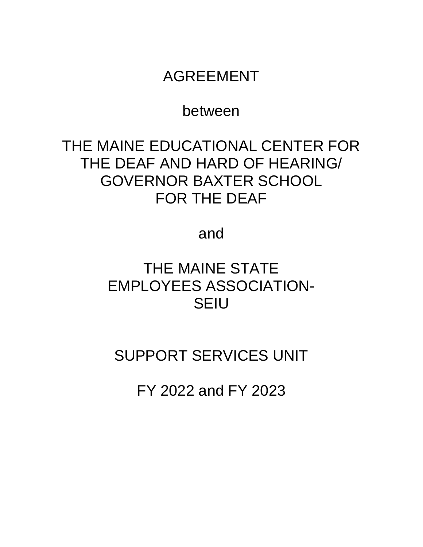# AGREEMENT

# between

# THE MAINE EDUCATIONAL CENTER FOR THE DEAF AND HARD OF HEARING/ GOVERNOR BAXTER SCHOOL FOR THE DEAF

# and

# THE MAINE STATE EMPLOYEES ASSOCIATION-SEIU

# SUPPORT SERVICES UNIT

FY 2022 and FY 2023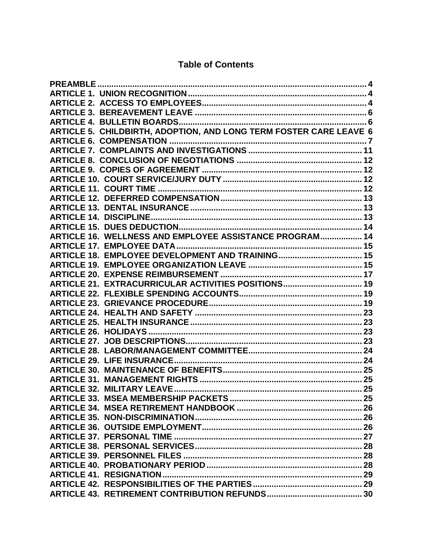# **Table of Contents**

| ARTICLE 5. CHILDBIRTH, ADOPTION, AND LONG TERM FOSTER CARE LEAVE 6 |  |
|--------------------------------------------------------------------|--|
|                                                                    |  |
|                                                                    |  |
|                                                                    |  |
|                                                                    |  |
|                                                                    |  |
|                                                                    |  |
|                                                                    |  |
|                                                                    |  |
|                                                                    |  |
|                                                                    |  |
| ARTICLE 16. WELLNESS AND EMPLOYEE ASSISTANCE PROGRAM 14            |  |
|                                                                    |  |
|                                                                    |  |
|                                                                    |  |
|                                                                    |  |
| ARTICLE 21. EXTRACURRICULAR ACTIVITIES POSITIONS 19                |  |
|                                                                    |  |
|                                                                    |  |
|                                                                    |  |
|                                                                    |  |
|                                                                    |  |
|                                                                    |  |
|                                                                    |  |
|                                                                    |  |
|                                                                    |  |
|                                                                    |  |
| ARTICLE 32. MILITARY LEAVE                                         |  |
|                                                                    |  |
|                                                                    |  |
|                                                                    |  |
|                                                                    |  |
|                                                                    |  |
|                                                                    |  |
|                                                                    |  |
|                                                                    |  |
|                                                                    |  |
|                                                                    |  |
|                                                                    |  |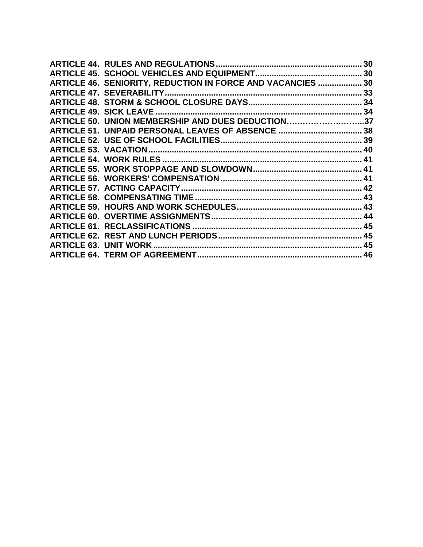|                                                             | 30 |
|-------------------------------------------------------------|----|
|                                                             |    |
| ARTICLE 46. SENIORITY, REDUCTION IN FORCE AND VACANCIES  30 |    |
| <b>ARTICLE 47. SEVERABILITY</b>                             |    |
|                                                             |    |
|                                                             |    |
| ARTICLE 50. UNION MEMBERSHIP AND DUES DEDUCTION37           |    |
|                                                             |    |
|                                                             |    |
|                                                             |    |
|                                                             |    |
|                                                             |    |
|                                                             |    |
|                                                             |    |
|                                                             |    |
|                                                             |    |
|                                                             |    |
|                                                             |    |
|                                                             |    |
|                                                             |    |
|                                                             |    |
|                                                             |    |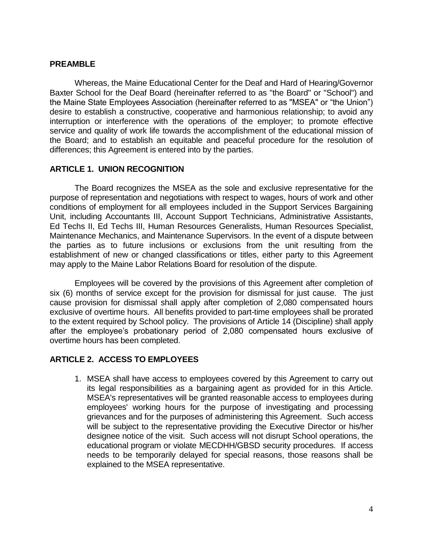#### <span id="page-3-0"></span>**PREAMBLE**

Whereas, the Maine Educational Center for the Deaf and Hard of Hearing/Governor Baxter School for the Deaf Board (hereinafter referred to as "the Board" or "School") and the Maine State Employees Association (hereinafter referred to as "MSEA" or "the Union") desire to establish a constructive, cooperative and harmonious relationship; to avoid any interruption or interference with the operations of the employer; to promote effective service and quality of work life towards the accomplishment of the educational mission of the Board; and to establish an equitable and peaceful procedure for the resolution of differences; this Agreement is entered into by the parties.

#### <span id="page-3-1"></span>**ARTICLE 1. UNION RECOGNITION**

The Board recognizes the MSEA as the sole and exclusive representative for the purpose of representation and negotiations with respect to wages, hours of work and other conditions of employment for all employees included in the Support Services Bargaining Unit, including Accountants III, Account Support Technicians, Administrative Assistants, Ed Techs II, Ed Techs III, Human Resources Generalists, Human Resources Specialist, Maintenance Mechanics, and Maintenance Supervisors. In the event of a dispute between the parties as to future inclusions or exclusions from the unit resulting from the establishment of new or changed classifications or titles, either party to this Agreement may apply to the Maine Labor Relations Board for resolution of the dispute.

Employees will be covered by the provisions of this Agreement after completion of six (6) months of service except for the provision for dismissal for just cause. The just cause provision for dismissal shall apply after completion of 2,080 compensated hours exclusive of overtime hours. All benefits provided to part-time employees shall be prorated to the extent required by School policy. The provisions of Article 14 (Discipline) shall apply after the employee's probationary period of 2,080 compensated hours exclusive of overtime hours has been completed.

#### <span id="page-3-2"></span>**ARTICLE 2. ACCESS TO EMPLOYEES**

1. MSEA shall have access to employees covered by this Agreement to carry out its legal responsibilities as a bargaining agent as provided for in this Article. MSEA's representatives will be granted reasonable access to employees during employees' working hours for the purpose of investigating and processing grievances and for the purposes of administering this Agreement. Such access will be subject to the representative providing the Executive Director or his/her designee notice of the visit. Such access will not disrupt School operations, the educational program or violate MECDHH/GBSD security procedures. If access needs to be temporarily delayed for special reasons, those reasons shall be explained to the MSEA representative.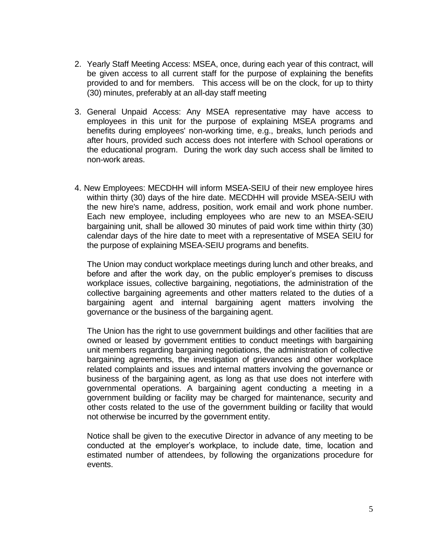- 2. Yearly Staff Meeting Access: MSEA, once, during each year of this contract, will be given access to all current staff for the purpose of explaining the benefits provided to and for members. This access will be on the clock, for up to thirty (30) minutes, preferably at an all-day staff meeting
- 3. General Unpaid Access: Any MSEA representative may have access to employees in this unit for the purpose of explaining MSEA programs and benefits during employees' non-working time, e.g., breaks, lunch periods and after hours, provided such access does not interfere with School operations or the educational program. During the work day such access shall be limited to non-work areas.
- 4. New Employees: MECDHH will inform MSEA-SEIU of their new employee hires within thirty (30) days of the hire date. MECDHH will provide MSEA-SEIU with the new hire's name, address, position, work email and work phone number. Each new employee, including employees who are new to an MSEA-SEIU bargaining unit, shall be allowed 30 minutes of paid work time within thirty (30) calendar days of the hire date to meet with a representative of MSEA SEIU for the purpose of explaining MSEA-SEIU programs and benefits.

The Union may conduct workplace meetings during lunch and other breaks, and before and after the work day, on the public employer's premises to discuss workplace issues, collective bargaining, negotiations, the administration of the collective bargaining agreements and other matters related to the duties of a bargaining agent and internal bargaining agent matters involving the governance or the business of the bargaining agent.

The Union has the right to use government buildings and other facilities that are owned or leased by government entities to conduct meetings with bargaining unit members regarding bargaining negotiations, the administration of collective bargaining agreements, the investigation of grievances and other workplace related complaints and issues and internal matters involving the governance or business of the bargaining agent, as long as that use does not interfere with governmental operations. A bargaining agent conducting a meeting in a government building or facility may be charged for maintenance, security and other costs related to the use of the government building or facility that would not otherwise be incurred by the government entity.

Notice shall be given to the executive Director in advance of any meeting to be conducted at the employer's workplace, to include date, time, location and estimated number of attendees, by following the organizations procedure for events.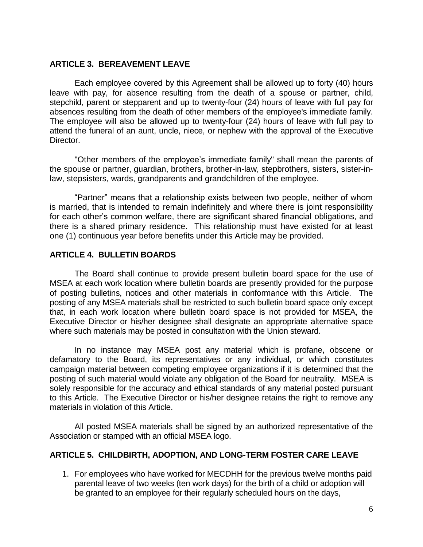#### <span id="page-5-0"></span>**ARTICLE 3. BEREAVEMENT LEAVE**

Each employee covered by this Agreement shall be allowed up to forty (40) hours leave with pay, for absence resulting from the death of a spouse or partner, child, stepchild, parent or stepparent and up to twenty-four (24) hours of leave with full pay for absences resulting from the death of other members of the employee's immediate family. The employee will also be allowed up to twenty-four (24) hours of leave with full pay to attend the funeral of an aunt, uncle, niece, or nephew with the approval of the Executive Director.

"Other members of the employee's immediate family" shall mean the parents of the spouse or partner, quardian, brothers, brother-in-law, stepbrothers, sisters, sister-inlaw, stepsisters, wards, grandparents and grandchildren of the employee.

"Partner" means that a relationship exists between two people, neither of whom is married, that is intended to remain indefinitely and where there is joint responsibility for each other's common welfare, there are significant shared financial obligations, and there is a shared primary residence. This relationship must have existed for at least one (1) continuous year before benefits under this Article may be provided.

#### <span id="page-5-1"></span>**ARTICLE 4. BULLETIN BOARDS**

The Board shall continue to provide present bulletin board space for the use of MSEA at each work location where bulletin boards are presently provided for the purpose of posting bulletins, notices and other materials in conformance with this Article. The posting of any MSEA materials shall be restricted to such bulletin board space only except that, in each work location where bulletin board space is not provided for MSEA, the Executive Director or his/her designee shall designate an appropriate alternative space where such materials may be posted in consultation with the Union steward.

In no instance may MSEA post any material which is profane, obscene or defamatory to the Board, its representatives or any individual, or which constitutes campaign material between competing employee organizations if it is determined that the posting of such material would violate any obligation of the Board for neutrality. MSEA is solely responsible for the accuracy and ethical standards of any material posted pursuant to this Article. The Executive Director or his/her designee retains the right to remove any materials in violation of this Article.

All posted MSEA materials shall be signed by an authorized representative of the Association or stamped with an official MSEA logo.

# <span id="page-5-2"></span>**ARTICLE 5. CHILDBIRTH, ADOPTION, AND LONG-TERM FOSTER CARE LEAVE**

1. For employees who have worked for MECDHH for the previous twelve months paid parental leave of two weeks (ten work days) for the birth of a child or adoption will be granted to an employee for their regularly scheduled hours on the days,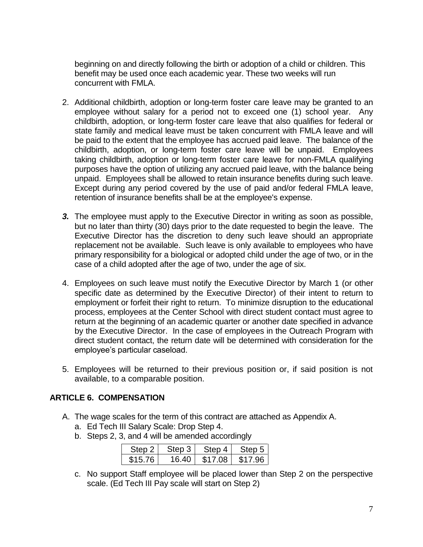beginning on and directly following the birth or adoption of a child or children. This benefit may be used once each academic year. These two weeks will run concurrent with FMLA.

- 2. Additional childbirth, adoption or long-term foster care leave may be granted to an employee without salary for a period not to exceed one (1) school year. Any childbirth, adoption, or long-term foster care leave that also qualifies for federal or state family and medical leave must be taken concurrent with FMLA leave and will be paid to the extent that the employee has accrued paid leave. The balance of the childbirth, adoption, or long-term foster care leave will be unpaid. Employees taking childbirth, adoption or long-term foster care leave for non-FMLA qualifying purposes have the option of utilizing any accrued paid leave, with the balance being unpaid. Employees shall be allowed to retain insurance benefits during such leave. Except during any period covered by the use of paid and/or federal FMLA leave, retention of insurance benefits shall be at the employee's expense.
- *3.* The employee must apply to the Executive Director in writing as soon as possible, but no later than thirty (30) days prior to the date requested to begin the leave. The Executive Director has the discretion to deny such leave should an appropriate replacement not be available. Such leave is only available to employees who have primary responsibility for a biological or adopted child under the age of two, or in the case of a child adopted after the age of two, under the age of six.
- 4. Employees on such leave must notify the Executive Director by March 1 (or other specific date as determined by the Executive Director) of their intent to return to employment or forfeit their right to return. To minimize disruption to the educational process, employees at the Center School with direct student contact must agree to return at the beginning of an academic quarter or another date specified in advance by the Executive Director. In the case of employees in the Outreach Program with direct student contact, the return date will be determined with consideration for the employee's particular caseload.
- 5. Employees will be returned to their previous position or, if said position is not available, to a comparable position.

# <span id="page-6-0"></span>**ARTICLE 6. COMPENSATION**

- A. The wage scales for the term of this contract are attached as Appendix A.
	- a. Ed Tech III Salary Scale: Drop Step 4.
	- b. Steps 2, 3, and 4 will be amended accordingly

| Step 2  | Step 3 | Step 4  | Step 5  |
|---------|--------|---------|---------|
| \$15.76 | 16.40  | \$17.08 | \$17.96 |

c. No support Staff employee will be placed lower than Step 2 on the perspective scale. (Ed Tech III Pay scale will start on Step 2)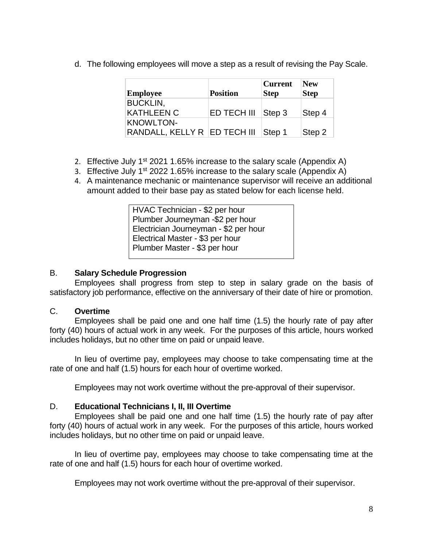d. The following employees will move a step as a result of revising the Pay Scale.

| Employee                                         | <b>Position</b> | <b>Current</b><br><b>Step</b> | <b>New</b><br><b>Step</b> |
|--------------------------------------------------|-----------------|-------------------------------|---------------------------|
| <b>BUCKLIN,</b><br><b>KATHLEEN C</b>             | ED TECH III     | Step 3                        | Step 4                    |
| <b>KNOWLTON-</b><br>RANDALL, KELLY R ED TECH III |                 | Step 1                        | Step 2                    |

- 2. Effective July  $1^{st}$  2021 1.65% increase to the salary scale (Appendix A)
- 3. Effective July 1<sup>st</sup> 2022 1.65% increase to the salary scale (Appendix A)
- 4. A maintenance mechanic or maintenance supervisor will receive an additional amount added to their base pay as stated below for each license held.

HVAC Technician - \$2 per hour Plumber Journeyman -\$2 per hour Electrician Journeyman - \$2 per hour Electrical Master - \$3 per hour Plumber Master - \$3 per hour

### B. **Salary Schedule Progression**

Employees shall progress from step to step in salary grade on the basis of satisfactory job performance, effective on the anniversary of their date of hire or promotion.

#### C. **Overtime**

Employees shall be paid one and one half time (1.5) the hourly rate of pay after forty (40) hours of actual work in any week. For the purposes of this article, hours worked includes holidays, but no other time on paid or unpaid leave.

In lieu of overtime pay, employees may choose to take compensating time at the rate of one and half (1.5) hours for each hour of overtime worked.

Employees may not work overtime without the pre-approval of their supervisor.

# D. **Educational Technicians I, II, III Overtime**

Employees shall be paid one and one half time (1.5) the hourly rate of pay after forty (40) hours of actual work in any week. For the purposes of this article, hours worked includes holidays, but no other time on paid or unpaid leave.

In lieu of overtime pay, employees may choose to take compensating time at the rate of one and half (1.5) hours for each hour of overtime worked.

Employees may not work overtime without the pre-approval of their supervisor.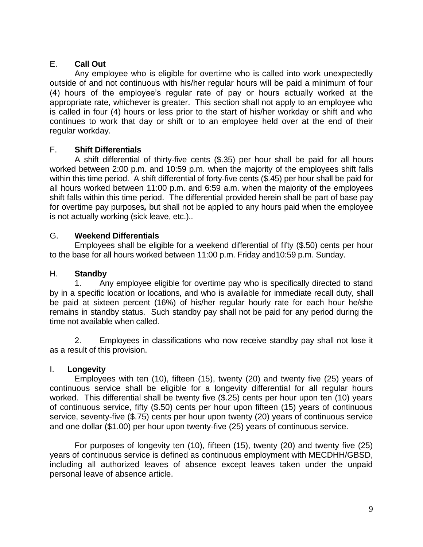# E. **Call Out**

Any employee who is eligible for overtime who is called into work unexpectedly outside of and not continuous with his/her regular hours will be paid a minimum of four (4) hours of the employee's regular rate of pay or hours actually worked at the appropriate rate, whichever is greater. This section shall not apply to an employee who is called in four (4) hours or less prior to the start of his/her workday or shift and who continues to work that day or shift or to an employee held over at the end of their regular workday.

# F. **Shift Differentials**

A shift differential of thirty-five cents (\$.35) per hour shall be paid for all hours worked between 2:00 p.m. and 10:59 p.m. when the majority of the employees shift falls within this time period. A shift differential of forty-five cents (\$.45) per hour shall be paid for all hours worked between 11:00 p.m. and 6:59 a.m. when the majority of the employees shift falls within this time period. The differential provided herein shall be part of base pay for overtime pay purposes*,* but shall not be applied to any hours paid when the employee is not actually working (sick leave, etc.)..

# G. **Weekend Differentials**

Employees shall be eligible for a weekend differential of fifty (\$.50) cents per hour to the base for all hours worked between 11:00 p.m. Friday and10:59 p.m. Sunday.

# H. **Standby**

1. Any employee eligible for overtime pay who is specifically directed to stand by in a specific location or locations, and who is available for immediate recall duty, shall be paid at sixteen percent (16%) of his/her regular hourly rate for each hour he/she remains in standby status. Such standby pay shall not be paid for any period during the time not available when called.

2. Employees in classifications who now receive standby pay shall not lose it as a result of this provision.

# I. **Longevity**

Employees with ten (10), fifteen (15), twenty (20) and twenty five (25) years of continuous service shall be eligible for a longevity differential for all regular hours worked. This differential shall be twenty five (\$.25) cents per hour upon ten (10) years of continuous service, fifty (\$.50) cents per hour upon fifteen (15) years of continuous service, seventy-five (\$.75) cents per hour upon twenty (20) years of continuous service and one dollar (\$1.00) per hour upon twenty-five (25) years of continuous service.

For purposes of longevity ten (10), fifteen (15), twenty (20) and twenty five (25) years of continuous service is defined as continuous employment with MECDHH/GBSD, including all authorized leaves of absence except leaves taken under the unpaid personal leave of absence article.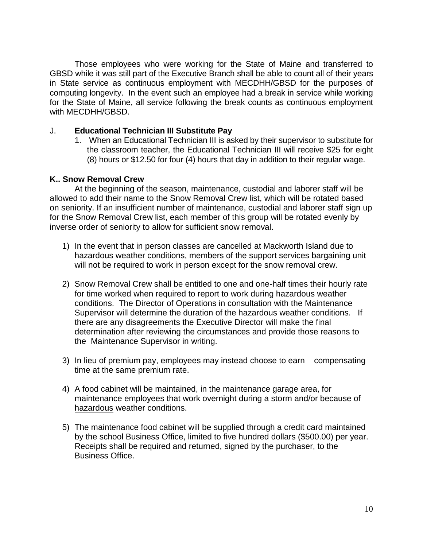Those employees who were working for the State of Maine and transferred to GBSD while it was still part of the Executive Branch shall be able to count all of their years in State service as continuous employment with MECDHH/GBSD for the purposes of computing longevity. In the event such an employee had a break in service while working for the State of Maine, all service following the break counts as continuous employment with MECDHH/GBSD.

#### J. **Educational Technician III Substitute Pay**

1. When an Educational Technician III is asked by their supervisor to substitute for the classroom teacher, the Educational Technician III will receive \$25 for eight (8) hours or \$12.50 for four (4) hours that day in addition to their regular wage.

#### **K.. Snow Removal Crew**

At the beginning of the season, maintenance, custodial and laborer staff will be allowed to add their name to the Snow Removal Crew list, which will be rotated based on seniority. If an insufficient number of maintenance, custodial and laborer staff sign up for the Snow Removal Crew list, each member of this group will be rotated evenly by inverse order of seniority to allow for sufficient snow removal.

- 1) In the event that in person classes are cancelled at Mackworth Island due to hazardous weather conditions, members of the support services bargaining unit will not be required to work in person except for the snow removal crew.
- 2) Snow Removal Crew shall be entitled to one and one-half times their hourly rate for time worked when required to report to work during hazardous weather conditions. The Director of Operations in consultation with the Maintenance Supervisor will determine the duration of the hazardous weather conditions. If there are any disagreements the Executive Director will make the final determination after reviewing the circumstances and provide those reasons to the Maintenance Supervisor in writing.
- 3) In lieu of premium pay, employees may instead choose to earn compensating time at the same premium rate.
- 4) A food cabinet will be maintained, in the maintenance garage area, for maintenance employees that work overnight during a storm and/or because of hazardous weather conditions.
- 5) The maintenance food cabinet will be supplied through a credit card maintained by the school Business Office, limited to five hundred dollars (\$500.00) per year. Receipts shall be required and returned, signed by the purchaser, to the Business Office.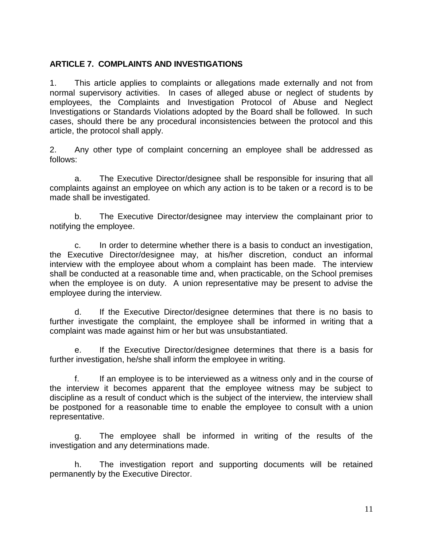# <span id="page-10-0"></span>**ARTICLE 7. COMPLAINTS AND INVESTIGATIONS**

1. This article applies to complaints or allegations made externally and not from normal supervisory activities. In cases of alleged abuse or neglect of students by employees, the Complaints and Investigation Protocol of Abuse and Neglect Investigations or Standards Violations adopted by the Board shall be followed. In such cases, should there be any procedural inconsistencies between the protocol and this article, the protocol shall apply.

2. Any other type of complaint concerning an employee shall be addressed as follows:

a. The Executive Director/designee shall be responsible for insuring that all complaints against an employee on which any action is to be taken or a record is to be made shall be investigated.

b. The Executive Director/designee may interview the complainant prior to notifying the employee.

c. In order to determine whether there is a basis to conduct an investigation, the Executive Director/designee may, at his/her discretion, conduct an informal interview with the employee about whom a complaint has been made. The interview shall be conducted at a reasonable time and, when practicable, on the School premises when the employee is on duty. A union representative may be present to advise the employee during the interview.

d. If the Executive Director/designee determines that there is no basis to further investigate the complaint, the employee shall be informed in writing that a complaint was made against him or her but was unsubstantiated.

e. If the Executive Director/designee determines that there is a basis for further investigation, he/she shall inform the employee in writing.

f. If an employee is to be interviewed as a witness only and in the course of the interview it becomes apparent that the employee witness may be subject to discipline as a result of conduct which is the subject of the interview, the interview shall be postponed for a reasonable time to enable the employee to consult with a union representative.

g. The employee shall be informed in writing of the results of the investigation and any determinations made.

h. The investigation report and supporting documents will be retained permanently by the Executive Director.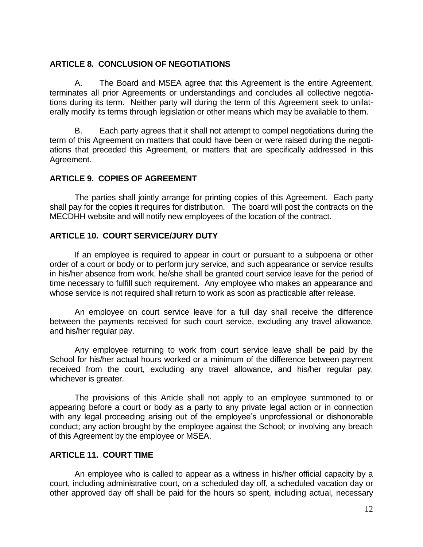#### <span id="page-11-0"></span>**ARTICLE 8. CONCLUSION OF NEGOTIATIONS**

A. The Board and MSEA agree that this Agreement is the entire Agreement, terminates all prior Agreements or understandings and concludes all collective negotiations during its term. Neither party will during the term of this Agreement seek to unilaterally modify its terms through legislation or other means which may be available to them.

B. Each party agrees that it shall not attempt to compel negotiations during the term of this Agreement on matters that could have been or were raised during the negotiations that preceded this Agreement, or matters that are specifically addressed in this Agreement.

### <span id="page-11-1"></span>**ARTICLE 9. COPIES OF AGREEMENT**

The parties shall jointly arrange for printing copies of this Agreement. Each party shall pay for the copies it requires for distribution. The board will post the contracts on the MECDHH website and will notify new employees of the location of the contract.

### <span id="page-11-2"></span>**ARTICLE 10. COURT SERVICE/JURY DUTY**

If an employee is required to appear in court or pursuant to a subpoena or other order of a court or body or to perform jury service, and such appearance or service results in his/her absence from work, he/she shall be granted court service leave for the period of time necessary to fulfill such requirement. Any employee who makes an appearance and whose service is not required shall return to work as soon as practicable after release.

An employee on court service leave for a full day shall receive the difference between the payments received for such court service, excluding any travel allowance, and his/her regular pay.

Any employee returning to work from court service leave shall be paid by the School for his/her actual hours worked or a minimum of the difference between payment received from the court, excluding any travel allowance, and his/her regular pay, whichever is greater.

The provisions of this Article shall not apply to an employee summoned to or appearing before a court or body as a party to any private legal action or in connection with any legal proceeding arising out of the employee's unprofessional or dishonorable conduct; any action brought by the employee against the School; or involving any breach of this Agreement by the employee or MSEA.

# <span id="page-11-3"></span>**ARTICLE 11. COURT TIME**

An employee who is called to appear as a witness in his/her official capacity by a court, including administrative court, on a scheduled day off, a scheduled vacation day or other approved day off shall be paid for the hours so spent, including actual, necessary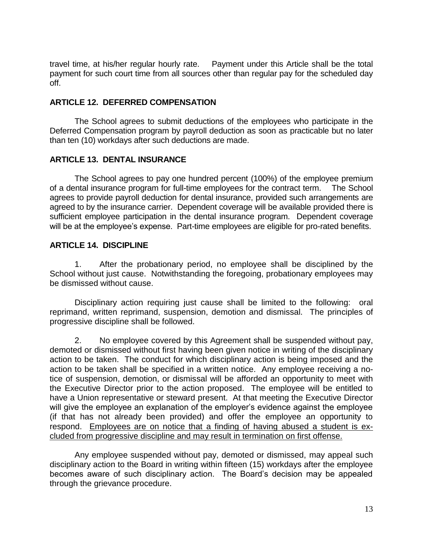travel time, at his/her regular hourly rate. Payment under this Article shall be the total payment for such court time from all sources other than regular pay for the scheduled day off.

### <span id="page-12-0"></span>**ARTICLE 12. DEFERRED COMPENSATION**

The School agrees to submit deductions of the employees who participate in the Deferred Compensation program by payroll deduction as soon as practicable but no later than ten (10) workdays after such deductions are made.

### <span id="page-12-1"></span>**ARTICLE 13. DENTAL INSURANCE**

The School agrees to pay one hundred percent (100%) of the employee premium of a dental insurance program for full-time employees for the contract term. The School agrees to provide payroll deduction for dental insurance, provided such arrangements are agreed to by the insurance carrier. Dependent coverage will be available provided there is sufficient employee participation in the dental insurance program. Dependent coverage will be at the employee's expense. Part-time employees are eligible for pro-rated benefits.

### <span id="page-12-2"></span>**ARTICLE 14. DISCIPLINE**

1. After the probationary period, no employee shall be disciplined by the School without just cause. Notwithstanding the foregoing, probationary employees may be dismissed without cause.

Disciplinary action requiring just cause shall be limited to the following: oral reprimand, written reprimand, suspension, demotion and dismissal. The principles of progressive discipline shall be followed.

2. No employee covered by this Agreement shall be suspended without pay, demoted or dismissed without first having been given notice in writing of the disciplinary action to be taken. The conduct for which disciplinary action is being imposed and the action to be taken shall be specified in a written notice. Any employee receiving a notice of suspension, demotion, or dismissal will be afforded an opportunity to meet with the Executive Director prior to the action proposed. The employee will be entitled to have a Union representative or steward present. At that meeting the Executive Director will give the employee an explanation of the employer's evidence against the employee (if that has not already been provided) and offer the employee an opportunity to respond. Employees are on notice that a finding of having abused a student is excluded from progressive discipline and may result in termination on first offense.

Any employee suspended without pay, demoted or dismissed, may appeal such disciplinary action to the Board in writing within fifteen (15) workdays after the employee becomes aware of such disciplinary action. The Board's decision may be appealed through the grievance procedure.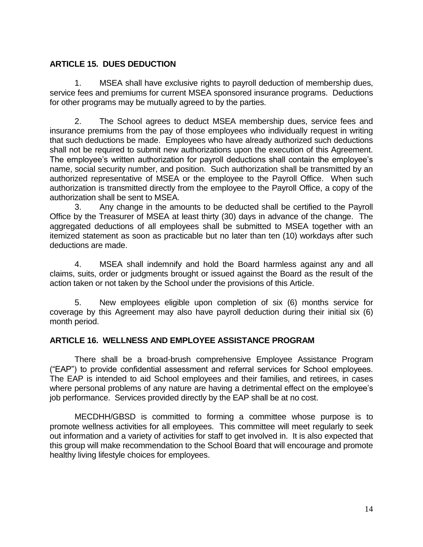# <span id="page-13-0"></span>**ARTICLE 15. DUES DEDUCTION**

1. MSEA shall have exclusive rights to payroll deduction of membership dues, service fees and premiums for current MSEA sponsored insurance programs. Deductions for other programs may be mutually agreed to by the parties.

2. The School agrees to deduct MSEA membership dues, service fees and insurance premiums from the pay of those employees who individually request in writing that such deductions be made. Employees who have already authorized such deductions shall not be required to submit new authorizations upon the execution of this Agreement. The employee's written authorization for payroll deductions shall contain the employee's name, social security number, and position. Such authorization shall be transmitted by an authorized representative of MSEA or the employee to the Payroll Office. When such authorization is transmitted directly from the employee to the Payroll Office, a copy of the authorization shall be sent to MSEA.

3. Any change in the amounts to be deducted shall be certified to the Payroll Office by the Treasurer of MSEA at least thirty (30) days in advance of the change. The aggregated deductions of all employees shall be submitted to MSEA together with an itemized statement as soon as practicable but no later than ten (10) workdays after such deductions are made.

4. MSEA shall indemnify and hold the Board harmless against any and all claims, suits, order or judgments brought or issued against the Board as the result of the action taken or not taken by the School under the provisions of this Article.

5. New employees eligible upon completion of six (6) months service for coverage by this Agreement may also have payroll deduction during their initial six (6) month period.

#### <span id="page-13-1"></span>**ARTICLE 16. WELLNESS AND EMPLOYEE ASSISTANCE PROGRAM**

There shall be a broad-brush comprehensive Employee Assistance Program ("EAP") to provide confidential assessment and referral services for School employees. The EAP is intended to aid School employees and their families, and retirees, in cases where personal problems of any nature are having a detrimental effect on the employee's job performance. Services provided directly by the EAP shall be at no cost.

MECDHH/GBSD is committed to forming a committee whose purpose is to promote wellness activities for all employees. This committee will meet regularly to seek out information and a variety of activities for staff to get involved in. It is also expected that this group will make recommendation to the School Board that will encourage and promote healthy living lifestyle choices for employees.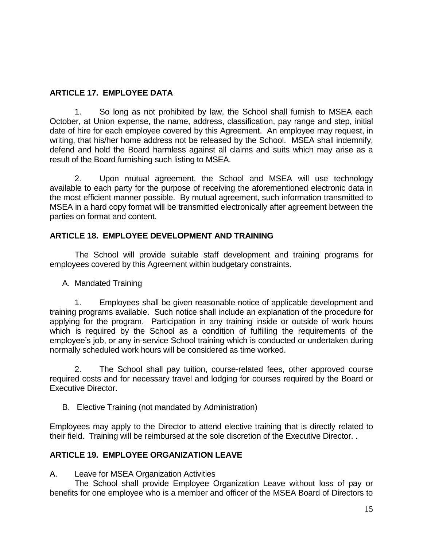# <span id="page-14-0"></span>**ARTICLE 17. EMPLOYEE DATA**

1. So long as not prohibited by law, the School shall furnish to MSEA each October, at Union expense, the name, address, classification, pay range and step, initial date of hire for each employee covered by this Agreement. An employee may request, in writing, that his/her home address not be released by the School.MSEA shall indemnify, defend and hold the Board harmless against all claims and suits which may arise as a result of the Board furnishing such listing to MSEA.

2. Upon mutual agreement, the School and MSEA will use technology available to each party for the purpose of receiving the aforementioned electronic data in the most efficient manner possible. By mutual agreement, such information transmitted to MSEA in a hard copy format will be transmitted electronically after agreement between the parties on format and content.

# <span id="page-14-1"></span>**ARTICLE 18. EMPLOYEE DEVELOPMENT AND TRAINING**

The School will provide suitable staff development and training programs for employees covered by this Agreement within budgetary constraints.

A. Mandated Training

1. Employees shall be given reasonable notice of applicable development and training programs available. Such notice shall include an explanation of the procedure for applying for the program. Participation in any training inside or outside of work hours which is required by the School as a condition of fulfilling the requirements of the employee's job, or any in-service School training which is conducted or undertaken during normally scheduled work hours will be considered as time worked.

2. The School shall pay tuition, course-related fees, other approved course required costs and for necessary travel and lodging for courses required by the Board or Executive Director.

B. Elective Training (not mandated by Administration)

Employees may apply to the Director to attend elective training that is directly related to their field. Training will be reimbursed at the sole discretion of the Executive Director. .

# <span id="page-14-2"></span>**ARTICLE 19. EMPLOYEE ORGANIZATION LEAVE**

A. Leave for MSEA Organization Activities

The School shall provide Employee Organization Leave without loss of pay or benefits for one employee who is a member and officer of the MSEA Board of Directors to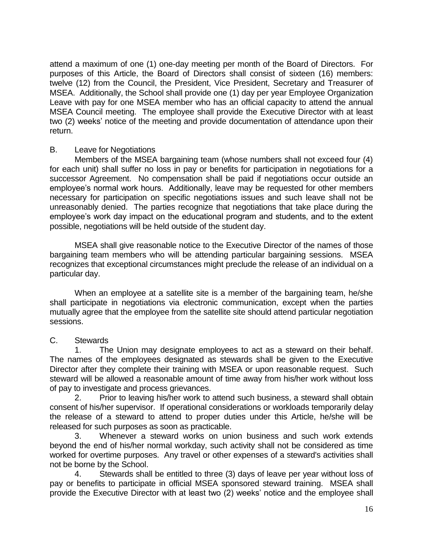attend a maximum of one (1) one-day meeting per month of the Board of Directors. For purposes of this Article, the Board of Directors shall consist of sixteen (16) members: twelve (12) from the Council, the President, Vice President, Secretary and Treasurer of MSEA. Additionally, the School shall provide one (1) day per year Employee Organization Leave with pay for one MSEA member who has an official capacity to attend the annual MSEA Council meeting. The employee shall provide the Executive Director with at least two (2) weeks' notice of the meeting and provide documentation of attendance upon their return.

#### B. Leave for Negotiations

Members of the MSEA bargaining team (whose numbers shall not exceed four (4) for each unit) shall suffer no loss in pay or benefits for participation in negotiations for a successor Agreement. No compensation shall be paid if negotiations occur outside an employee's normal work hours. Additionally, leave may be requested for other members necessary for participation on specific negotiations issues and such leave shall not be unreasonably denied. The parties recognize that negotiations that take place during the employee's work day impact on the educational program and students, and to the extent possible, negotiations will be held outside of the student day.

MSEA shall give reasonable notice to the Executive Director of the names of those bargaining team members who will be attending particular bargaining sessions. MSEA recognizes that exceptional circumstances might preclude the release of an individual on a particular day.

When an employee at a satellite site is a member of the bargaining team, he/she shall participate in negotiations via electronic communication, except when the parties mutually agree that the employee from the satellite site should attend particular negotiation sessions.

# C. Stewards

1. The Union may designate employees to act as a steward on their behalf. The names of the employees designated as stewards shall be given to the Executive Director after they complete their training with MSEA or upon reasonable request. Such steward will be allowed a reasonable amount of time away from his/her work without loss of pay to investigate and process grievances.

2. Prior to leaving his/her work to attend such business, a steward shall obtain consent of his/her supervisor. If operational considerations or workloads temporarily delay the release of a steward to attend to proper duties under this Article, he/she will be released for such purposes as soon as practicable.

3. Whenever a steward works on union business and such work extends beyond the end of his/her normal workday, such activity shall not be considered as time worked for overtime purposes. Any travel or other expenses of a steward's activities shall not be borne by the School.

4. Stewards shall be entitled to three (3) days of leave per year without loss of pay or benefits to participate in official MSEA sponsored steward training. MSEA shall provide the Executive Director with at least two (2) weeks' notice and the employee shall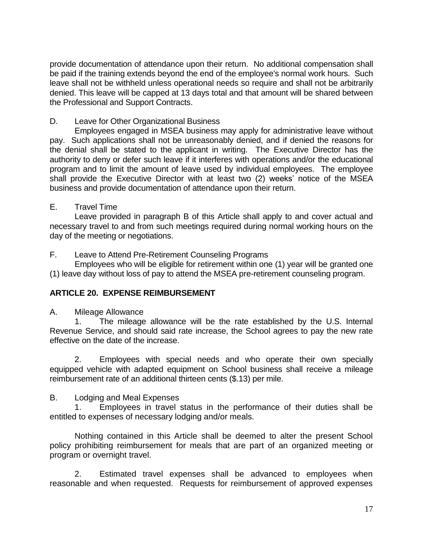provide documentation of attendance upon their return. No additional compensation shall be paid if the training extends beyond the end of the employee's normal work hours. Such leave shall not be withheld unless operational needs so require and shall not be arbitrarily denied. This leave will be capped at 13 days total and that amount will be shared between the Professional and Support Contracts.

# D. Leave for Other Organizational Business

Employees engaged in MSEA business may apply for administrative leave without pay. Such applications shall not be unreasonably denied, and if denied the reasons for the denial shall be stated to the applicant in writing. The Executive Director has the authority to deny or defer such leave if it interferes with operations and/or the educational program and to limit the amount of leave used by individual employees. The employee shall provide the Executive Director with at least two (2) weeks' notice of the MSEA business and provide documentation of attendance upon their return.

# E. Travel Time

Leave provided in paragraph B of this Article shall apply to and cover actual and necessary travel to and from such meetings required during normal working hours on the day of the meeting or negotiations.

# F. Leave to Attend Pre-Retirement Counseling Programs

Employees who will be eligible for retirement within one (1) year will be granted one (1) leave day without loss of pay to attend the MSEA pre-retirement counseling program.

# <span id="page-16-0"></span>**ARTICLE 20. EXPENSE REIMBURSEMENT**

A. Mileage Allowance

1. The mileage allowance will be the rate established by the U.S. Internal Revenue Service, and should said rate increase, the School agrees to pay the new rate effective on the date of the increase.

2. Employees with special needs and who operate their own specially equipped vehicle with adapted equipment on School business shall receive a mileage reimbursement rate of an additional thirteen cents (\$.13) per mile.

# B. Lodging and Meal Expenses

1. Employees in travel status in the performance of their duties shall be entitled to expenses of necessary lodging and/or meals.

Nothing contained in this Article shall be deemed to alter the present School policy prohibiting reimbursement for meals that are part of an organized meeting or program or overnight travel.

2. Estimated travel expenses shall be advanced to employees when reasonable and when requested. Requests for reimbursement of approved expenses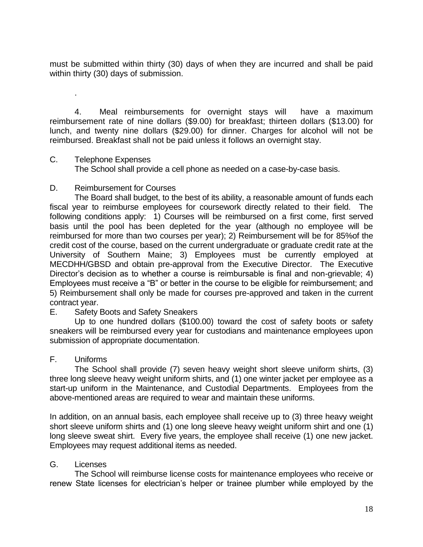must be submitted within thirty (30) days of when they are incurred and shall be paid within thirty (30) days of submission.

4. Meal reimbursements for overnight stays will have a maximum reimbursement rate of nine dollars (\$9.00) for breakfast; thirteen dollars (\$13.00) for lunch, and twenty nine dollars (\$29.00) for dinner. Charges for alcohol will not be reimbursed. Breakfast shall not be paid unless it follows an overnight stay.

#### C. Telephone Expenses

.

The School shall provide a cell phone as needed on a case-by-case basis.

### D. Reimbursement for Courses

The Board shall budget, to the best of its ability, a reasonable amount of funds each fiscal year to reimburse employees for coursework directly related to their field. The following conditions apply: 1) Courses will be reimbursed on a first come, first served basis until the pool has been depleted for the year (although no employee will be reimbursed for more than two courses per year); 2) Reimbursement will be for 85%of the credit cost of the course, based on the current undergraduate or graduate credit rate at the University of Southern Maine; 3) Employees must be currently employed at MECDHH/GBSD and obtain pre-approval from the Executive Director. The Executive Director's decision as to whether a course is reimbursable is final and non-grievable; 4) Employees must receive a "B" or better in the course to be eligible for reimbursement; and 5) Reimbursement shall only be made for courses pre-approved and taken in the current contract year.

# E. Safety Boots and Safety Sneakers

Up to one hundred dollars (\$100.00) toward the cost of safety boots or safety sneakers will be reimbursed every year for custodians and maintenance employees upon submission of appropriate documentation.

# F. Uniforms

The School shall provide (7) seven heavy weight short sleeve uniform shirts, (3) three long sleeve heavy weight uniform shirts, and (1) one winter jacket per employee as a start-up uniform in the Maintenance, and Custodial Departments. Employees from the above-mentioned areas are required to wear and maintain these uniforms.

In addition, on an annual basis, each employee shall receive up to (3) three heavy weight short sleeve uniform shirts and (1) one long sleeve heavy weight uniform shirt and one (1) long sleeve sweat shirt. Every five years, the employee shall receive (1) one new jacket. Employees may request additional items as needed.

# G. Licenses

The School will reimburse license costs for maintenance employees who receive or renew State licenses for electrician's helper or trainee plumber while employed by the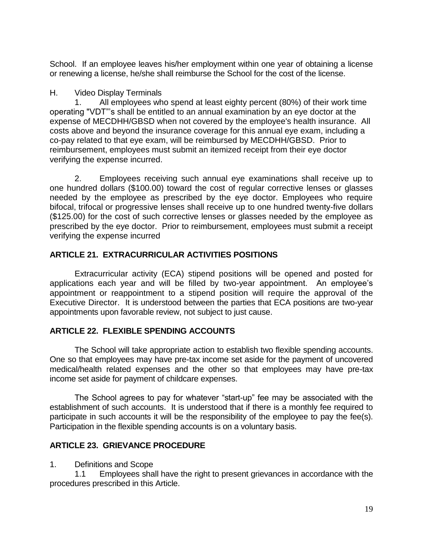School. If an employee leaves his/her employment within one year of obtaining a license or renewing a license, he/she shall reimburse the School for the cost of the license.

### H. Video Display Terminals

1. All employees who spend at least eighty percent (80%) of their work time operating "VDT"'s shall be entitled to an annual examination by an eye doctor at the expense of MECDHH/GBSD when not covered by the employee's health insurance. All costs above and beyond the insurance coverage for this annual eye exam, including a co-pay related to that eye exam, will be reimbursed by MECDHH/GBSD. Prior to reimbursement, employees must submit an itemized receipt from their eye doctor verifying the expense incurred.

2. Employees receiving such annual eye examinations shall receive up to one hundred dollars (\$100.00) toward the cost of regular corrective lenses or glasses needed by the employee as prescribed by the eye doctor. Employees who require bifocal, trifocal or progressive lenses shall receive up to one hundred twenty-five dollars (\$125.00) for the cost of such corrective lenses or glasses needed by the employee as prescribed by the eye doctor. Prior to reimbursement, employees must submit a receipt verifying the expense incurred

# <span id="page-18-0"></span>**ARTICLE 21. EXTRACURRICULAR ACTIVITIES POSITIONS**

Extracurricular activity (ECA) stipend positions will be opened and posted for applications each year and will be filled by two-year appointment. An employee's appointment or reappointment to a stipend position will require the approval of the Executive Director. It is understood between the parties that ECA positions are two-year appointments upon favorable review, not subject to just cause.

# <span id="page-18-1"></span>**ARTICLE 22. FLEXIBLE SPENDING ACCOUNTS**

The School will take appropriate action to establish two flexible spending accounts. One so that employees may have pre-tax income set aside for the payment of uncovered medical/health related expenses and the other so that employees may have pre-tax income set aside for payment of childcare expenses.

The School agrees to pay for whatever "start-up" fee may be associated with the establishment of such accounts. It is understood that if there is a monthly fee required to participate in such accounts it will be the responsibility of the employee to pay the fee(s). Participation in the flexible spending accounts is on a voluntary basis.

# <span id="page-18-2"></span>**ARTICLE 23. GRIEVANCE PROCEDURE**

1. Definitions and Scope

1.1 Employees shall have the right to present grievances in accordance with the procedures prescribed in this Article.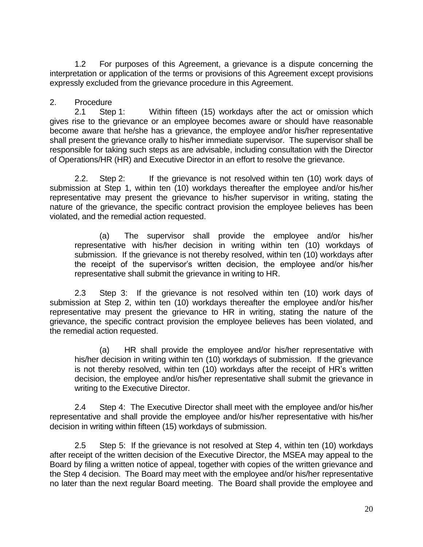1.2 For purposes of this Agreement, a grievance is a dispute concerning the interpretation or application of the terms or provisions of this Agreement except provisions expressly excluded from the grievance procedure in this Agreement.

### 2. Procedure

2.1 Step 1: Within fifteen (15) workdays after the act or omission which gives rise to the grievance or an employee becomes aware or should have reasonable become aware that he/she has a grievance, the employee and/or his/her representative shall present the grievance orally to his/her immediate supervisor. The supervisor shall be responsible for taking such steps as are advisable, including consultation with the Director of Operations/HR (HR) and Executive Director in an effort to resolve the grievance.

2.2. Step 2: If the grievance is not resolved within ten (10) work days of submission at Step 1, within ten (10) workdays thereafter the employee and/or his/her representative may present the grievance to his/her supervisor in writing, stating the nature of the grievance, the specific contract provision the employee believes has been violated, and the remedial action requested.

(a) The supervisor shall provide the employee and/or his/her representative with his/her decision in writing within ten (10) workdays of submission. If the grievance is not thereby resolved, within ten (10) workdays after the receipt of the supervisor's written decision, the employee and/or his/her representative shall submit the grievance in writing to HR.

2.3 Step 3: If the grievance is not resolved within ten (10) work days of submission at Step 2, within ten (10) workdays thereafter the employee and/or his/her representative may present the grievance to HR in writing, stating the nature of the grievance, the specific contract provision the employee believes has been violated, and the remedial action requested.

(a) HR shall provide the employee and/or his/her representative with his/her decision in writing within ten (10) workdays of submission. If the grievance is not thereby resolved, within ten (10) workdays after the receipt of HR's written decision, the employee and/or his/her representative shall submit the grievance in writing to the Executive Director.

2.4 Step 4: The Executive Director shall meet with the employee and/or his/her representative and shall provide the employee and/or his/her representative with his/her decision in writing within fifteen (15) workdays of submission.

2.5 Step 5: If the grievance is not resolved at Step 4, within ten (10) workdays after receipt of the written decision of the Executive Director, the MSEA may appeal to the Board by filing a written notice of appeal, together with copies of the written grievance and the Step 4 decision. The Board may meet with the employee and/or his/her representative no later than the next regular Board meeting. The Board shall provide the employee and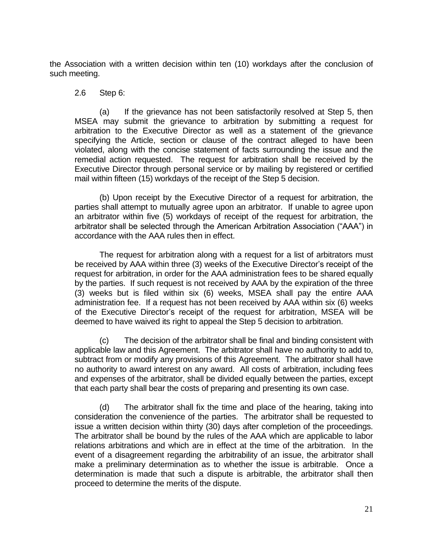the Association with a written decision within ten (10) workdays after the conclusion of such meeting.

#### 2.6 Step 6:

(a) If the grievance has not been satisfactorily resolved at Step 5, then MSEA may submit the grievance to arbitration by submitting a request for arbitration to the Executive Director as well as a statement of the grievance specifying the Article, section or clause of the contract alleged to have been violated, along with the concise statement of facts surrounding the issue and the remedial action requested. The request for arbitration shall be received by the Executive Director through personal service or by mailing by registered or certified mail within fifteen (15) workdays of the receipt of the Step 5 decision.

(b) Upon receipt by the Executive Director of a request for arbitration, the parties shall attempt to mutually agree upon an arbitrator. If unable to agree upon an arbitrator within five (5) workdays of receipt of the request for arbitration, the arbitrator shall be selected through the American Arbitration Association ("AAA") in accordance with the AAA rules then in effect.

The request for arbitration along with a request for a list of arbitrators must be received by AAA within three (3) weeks of the Executive Director's receipt of the request for arbitration, in order for the AAA administration fees to be shared equally by the parties. If such request is not received by AAA by the expiration of the three (3) weeks but is filed within six (6) weeks, MSEA shall pay the entire AAA administration fee. If a request has not been received by AAA within six (6) weeks of the Executive Director's receipt of the request for arbitration, MSEA will be deemed to have waived its right to appeal the Step 5 decision to arbitration.

(c) The decision of the arbitrator shall be final and binding consistent with applicable law and this Agreement. The arbitrator shall have no authority to add to, subtract from or modify any provisions of this Agreement. The arbitrator shall have no authority to award interest on any award. All costs of arbitration, including fees and expenses of the arbitrator, shall be divided equally between the parties, except that each party shall bear the costs of preparing and presenting its own case.

(d) The arbitrator shall fix the time and place of the hearing, taking into consideration the convenience of the parties. The arbitrator shall be requested to issue a written decision within thirty (30) days after completion of the proceedings. The arbitrator shall be bound by the rules of the AAA which are applicable to labor relations arbitrations and which are in effect at the time of the arbitration. In the event of a disagreement regarding the arbitrability of an issue, the arbitrator shall make a preliminary determination as to whether the issue is arbitrable. Once a determination is made that such a dispute is arbitrable, the arbitrator shall then proceed to determine the merits of the dispute.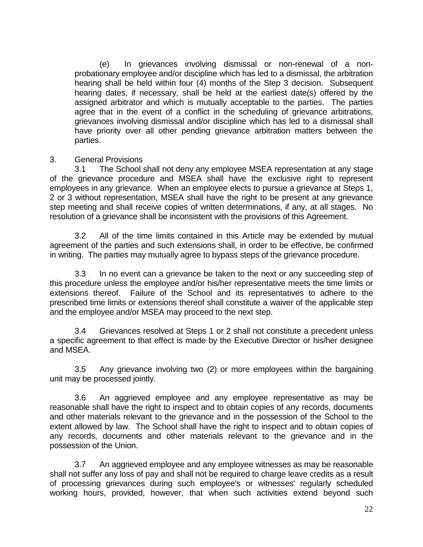(e) In grievances involving dismissal or non-renewal of a nonprobationary employee and/or discipline which has led to a dismissal, the arbitration hearing shall be held within four (4) months of the Step 3 decision. Subsequent hearing dates, if necessary, shall be held at the earliest date(s) offered by the assigned arbitrator and which is mutually acceptable to the parties. The parties agree that in the event of a conflict in the scheduling of grievance arbitrations, grievances involving dismissal and/or discipline which has led to a dismissal shall have priority over all other pending grievance arbitration matters between the parties.

#### 3. General Provisions

3.1 The School shall not deny any employee MSEA representation at any stage of the grievance procedure and MSEA shall have the exclusive right to represent employees in any grievance. When an employee elects to pursue a grievance at Steps 1, 2 or 3 without representation, MSEA shall have the right to be present at any grievance step meeting and shall receive copies of written determinations, if any, at all stages. No resolution of a grievance shall be inconsistent with the provisions of this Agreement.

3.2 All of the time limits contained in this Article may be extended by mutual agreement of the parties and such extensions shall, in order to be effective, be confirmed in writing. The parties may mutually agree to bypass steps of the grievance procedure.

3.3 In no event can a grievance be taken to the next or any succeeding step of this procedure unless the employee and/or his/her representative meets the time limits or extensions thereof. Failure of the School and its representatives to adhere to the prescribed time limits or extensions thereof shall constitute a waiver of the applicable step and the employee and/or MSEA may proceed to the next step.

3.4 Grievances resolved at Steps 1 or 2 shall not constitute a precedent unless a specific agreement to that effect is made by the Executive Director or his/her designee and MSEA.

3.5 Any grievance involving two (2) or more employees within the bargaining unit may be processed jointly.

3.6 An aggrieved employee and any employee representative as may be reasonable shall have the right to inspect and to obtain copies of any records, documents and other materials relevant to the grievance and in the possession of the School to the extent allowed by law. The School shall have the right to inspect and to obtain copies of any records, documents and other materials relevant to the grievance and in the possession of the Union.

3.7 An aggrieved employee and any employee witnesses as may be reasonable shall not suffer any loss of pay and shall not be required to charge leave credits as a result of processing grievances during such employee's or witnesses' regularly scheduled working hours, provided, however, that when such activities extend beyond such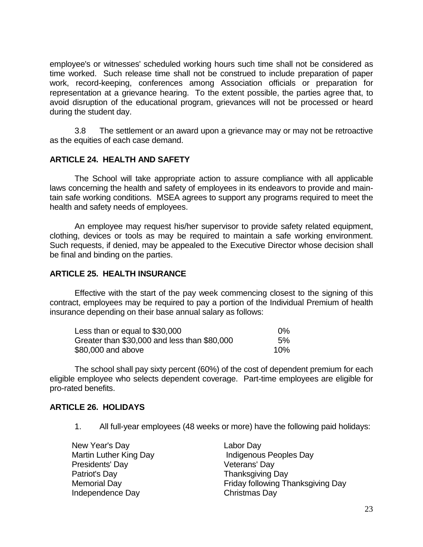employee's or witnesses' scheduled working hours such time shall not be considered as time worked. Such release time shall not be construed to include preparation of paper work, record-keeping, conferences among Association officials or preparation for representation at a grievance hearing. To the extent possible, the parties agree that, to avoid disruption of the educational program, grievances will not be processed or heard during the student day.

3.8 The settlement or an award upon a grievance may or may not be retroactive as the equities of each case demand.

#### <span id="page-22-0"></span>**ARTICLE 24. HEALTH AND SAFETY**

The School will take appropriate action to assure compliance with all applicable laws concerning the health and safety of employees in its endeavors to provide and maintain safe working conditions. MSEA agrees to support any programs required to meet the health and safety needs of employees.

An employee may request his/her supervisor to provide safety related equipment, clothing, devices or tools as may be required to maintain a safe working environment. Such requests, if denied, may be appealed to the Executive Director whose decision shall be final and binding on the parties.

#### <span id="page-22-1"></span>**ARTICLE 25. HEALTH INSURANCE**

Effective with the start of the pay week commencing closest to the signing of this contract, employees may be required to pay a portion of the Individual Premium of health insurance depending on their base annual salary as follows:

| Less than or equal to \$30,000               | በ%  |
|----------------------------------------------|-----|
| Greater than \$30,000 and less than \$80,000 | 5%  |
| \$80,000 and above                           | 10% |

The school shall pay sixty percent (60%) of the cost of dependent premium for each eligible employee who selects dependent coverage. Part-time employees are eligible for pro-rated benefits.

#### <span id="page-22-2"></span>**ARTICLE 26. HOLIDAYS**

1. All full-year employees (48 weeks or more) have the following paid holidays:

| New Year's Day         | Labor Day                         |
|------------------------|-----------------------------------|
| Martin Luther King Day | Indigenous Peoples Day            |
| Presidents' Day        | Veterans' Day                     |
| Patriot's Day          | <b>Thanksgiving Day</b>           |
| Memorial Day           | Friday following Thanksgiving Day |
| Independence Day       | Christmas Day                     |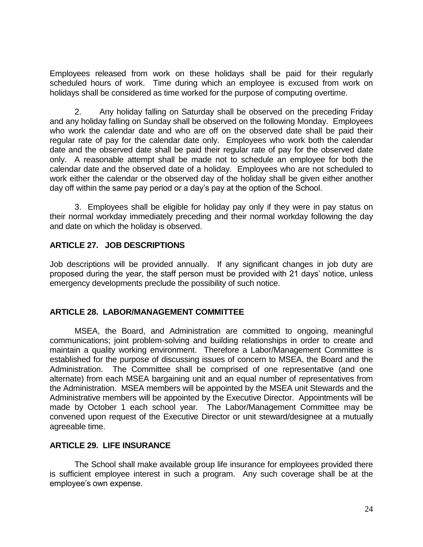Employees released from work on these holidays shall be paid for their regularly scheduled hours of work. Time during which an employee is excused from work on holidays shall be considered as time worked for the purpose of computing overtime.

2. Any holiday falling on Saturday shall be observed on the preceding Friday and any holiday falling on Sunday shall be observed on the following Monday. Employees who work the calendar date and who are off on the observed date shall be paid their regular rate of pay for the calendar date only. Employees who work both the calendar date and the observed date shall be paid their regular rate of pay for the observed date only. A reasonable attempt shall be made not to schedule an employee for both the calendar date and the observed date of a holiday. Employees who are not scheduled to work either the calendar or the observed day of the holiday shall be given either another day off within the same pay period or a day's pay at the option of the School.

3. Employees shall be eligible for holiday pay only if they were in pay status on their normal workday immediately preceding and their normal workday following the day and date on which the holiday is observed.

# **ARTICLE 27. JOB DESCRIPTIONS**

Job descriptions will be provided annually. If any significant changes in job duty are proposed during the year, the staff person must be provided with 21 days' notice, unless emergency developments preclude the possibility of such notice.

#### <span id="page-23-0"></span>**ARTICLE 28. LABOR/MANAGEMENT COMMITTEE**

MSEA, the Board, and Administration are committed to ongoing, meaningful communications; joint problem-solving and building relationships in order to create and maintain a quality working environment. Therefore a Labor/Management Committee is established for the purpose of discussing issues of concern to MSEA, the Board and the Administration. The Committee shall be comprised of one representative (and one alternate) from each MSEA bargaining unit and an equal number of representatives from the Administration. MSEA members will be appointed by the MSEA unit Stewards and the Administrative members will be appointed by the Executive Director. Appointments will be made by October 1 each school year. The Labor/Management Committee may be convened upon request of the Executive Director or unit steward/designee at a mutually agreeable time.

#### <span id="page-23-1"></span>**ARTICLE 29. LIFE INSURANCE**

The School shall make available group life insurance for employees provided there is sufficient employee interest in such a program. Any such coverage shall be at the employee's own expense.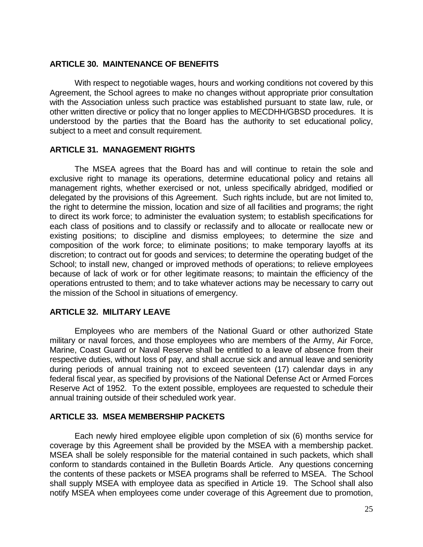#### <span id="page-24-0"></span>**ARTICLE 30. MAINTENANCE OF BENEFITS**

With respect to negotiable wages, hours and working conditions not covered by this Agreement, the School agrees to make no changes without appropriate prior consultation with the Association unless such practice was established pursuant to state law, rule, or other written directive or policy that no longer applies to MECDHH/GBSD procedures. It is understood by the parties that the Board has the authority to set educational policy, subject to a meet and consult requirement.

#### <span id="page-24-1"></span>**ARTICLE 31. MANAGEMENT RIGHTS**

The MSEA agrees that the Board has and will continue to retain the sole and exclusive right to manage its operations, determine educational policy and retains all management rights, whether exercised or not, unless specifically abridged, modified or delegated by the provisions of this Agreement. Such rights include, but are not limited to, the right to determine the mission, location and size of all facilities and programs; the right to direct its work force; to administer the evaluation system; to establish specifications for each class of positions and to classify or reclassify and to allocate or reallocate new or existing positions; to discipline and dismiss employees; to determine the size and composition of the work force; to eliminate positions; to make temporary layoffs at its discretion; to contract out for goods and services; to determine the operating budget of the School; to install new, changed or improved methods of operations; to relieve employees because of lack of work or for other legitimate reasons; to maintain the efficiency of the operations entrusted to them; and to take whatever actions may be necessary to carry out the mission of the School in situations of emergency.

#### <span id="page-24-2"></span>**ARTICLE 32. MILITARY LEAVE**

Employees who are members of the National Guard or other authorized State military or naval forces, and those employees who are members of the Army, Air Force, Marine, Coast Guard or Naval Reserve shall be entitled to a leave of absence from their respective duties, without loss of pay, and shall accrue sick and annual leave and seniority during periods of annual training not to exceed seventeen (17) calendar days in any federal fiscal year, as specified by provisions of the National Defense Act or Armed Forces Reserve Act of 1952. To the extent possible, employees are requested to schedule their annual training outside of their scheduled work year.

#### <span id="page-24-3"></span>**ARTICLE 33. MSEA MEMBERSHIP PACKETS**

Each newly hired employee eligible upon completion of six (6) months service for coverage by this Agreement shall be provided by the MSEA with a membership packet. MSEA shall be solely responsible for the material contained in such packets, which shall conform to standards contained in the Bulletin Boards Article. Any questions concerning the contents of these packets or MSEA programs shall be referred to MSEA. The School shall supply MSEA with employee data as specified in Article 19. The School shall also notify MSEA when employees come under coverage of this Agreement due to promotion,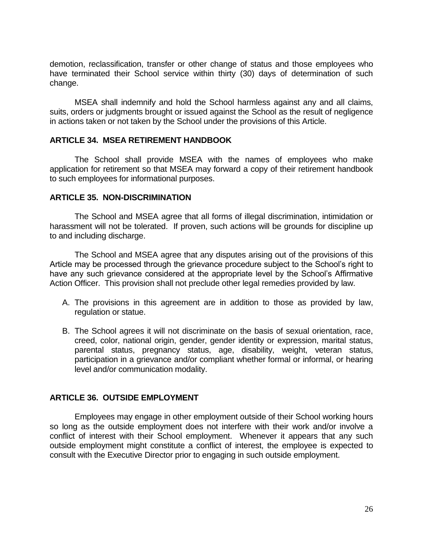demotion, reclassification, transfer or other change of status and those employees who have terminated their School service within thirty (30) days of determination of such change.

MSEA shall indemnify and hold the School harmless against any and all claims, suits, orders or judgments brought or issued against the School as the result of negligence in actions taken or not taken by the School under the provisions of this Article.

#### <span id="page-25-0"></span>**ARTICLE 34. MSEA RETIREMENT HANDBOOK**

The School shall provide MSEA with the names of employees who make application for retirement so that MSEA may forward a copy of their retirement handbook to such employees for informational purposes.

#### <span id="page-25-1"></span>**ARTICLE 35. NON-DISCRIMINATION**

The School and MSEA agree that all forms of illegal discrimination, intimidation or harassment will not be tolerated. If proven, such actions will be grounds for discipline up to and including discharge.

The School and MSEA agree that any disputes arising out of the provisions of this Article may be processed through the grievance procedure subject to the School's right to have any such grievance considered at the appropriate level by the School's Affirmative Action Officer. This provision shall not preclude other legal remedies provided by law.

- A. The provisions in this agreement are in addition to those as provided by law, regulation or statue.
- B. The School agrees it will not discriminate on the basis of sexual orientation, race, creed, color, national origin, gender, gender identity or expression, marital status, parental status, pregnancy status, age, disability, weight, veteran status, participation in a grievance and/or compliant whether formal or informal, or hearing level and/or communication modality.

#### <span id="page-25-2"></span>**ARTICLE 36. OUTSIDE EMPLOYMENT**

Employees may engage in other employment outside of their School working hours so long as the outside employment does not interfere with their work and/or involve a conflict of interest with their School employment. Whenever it appears that any such outside employment might constitute a conflict of interest, the employee is expected to consult with the Executive Director prior to engaging in such outside employment.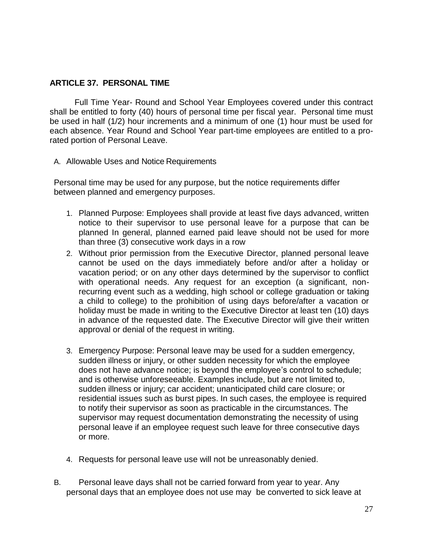### <span id="page-26-0"></span>**ARTICLE 37. PERSONAL TIME**

Full Time Year- Round and School Year Employees covered under this contract shall be entitled to forty (40) hours of personal time per fiscal year. Personal time must be used in half (1/2) hour increments and a minimum of one (1) hour must be used for each absence. Year Round and School Year part-time employees are entitled to a prorated portion of Personal Leave.

A. Allowable Uses and Notice Requirements

Personal time may be used for any purpose, but the notice requirements differ between planned and emergency purposes.

- 1. Planned Purpose: Employees shall provide at least five days advanced, written notice to their supervisor to use personal leave for a purpose that can be planned In general, planned earned paid leave should not be used for more than three (3) consecutive work days in a row
- 2. Without prior permission from the Executive Director, planned personal leave cannot be used on the days immediately before and/or after a holiday or vacation period; or on any other days determined by the supervisor to conflict with operational needs. Any request for an exception (a significant, nonrecurring event such as a wedding, high school or college graduation or taking a child to college) to the prohibition of using days before/after a vacation or holiday must be made in writing to the Executive Director at least ten (10) days in advance of the requested date. The Executive Director will give their written approval or denial of the request in writing.
- 3. Emergency Purpose: Personal leave may be used for a sudden emergency, sudden illness or injury, or other sudden necessity for which the employee does not have advance notice; is beyond the employee's control to schedule; and is otherwise unforeseeable. Examples include, but are not limited to, sudden illness or injury; car accident; unanticipated child care closure; or residential issues such as burst pipes. In such cases, the employee is required to notify their supervisor as soon as practicable in the circumstances. The supervisor may request documentation demonstrating the necessity of using personal leave if an employee request such leave for three consecutive days or more.
- 4. Requests for personal leave use will not be unreasonably denied.
- B. Personal leave days shall not be carried forward from year to year. Any personal days that an employee does not use may be converted to sick leave at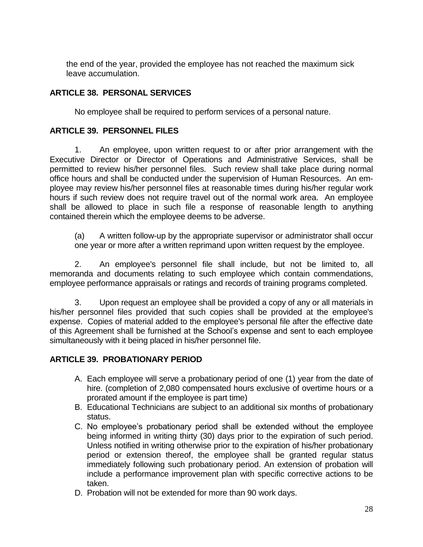the end of the year, provided the employee has not reached the maximum sick leave accumulation.

# <span id="page-27-0"></span>**ARTICLE 38. PERSONAL SERVICES**

No employee shall be required to perform services of a personal nature.

# <span id="page-27-1"></span>**ARTICLE 39. PERSONNEL FILES**

1. An employee, upon written request to or after prior arrangement with the Executive Director or Director of Operations and Administrative Services, shall be permitted to review his/her personnel files. Such review shall take place during normal office hours and shall be conducted under the supervision of Human Resources. An employee may review his/her personnel files at reasonable times during his/her regular work hours if such review does not require travel out of the normal work area. An employee shall be allowed to place in such file a response of reasonable length to anything contained therein which the employee deems to be adverse.

(a) A written follow-up by the appropriate supervisor or administrator shall occur one year or more after a written reprimand upon written request by the employee.

2. An employee's personnel file shall include, but not be limited to, all memoranda and documents relating to such employee which contain commendations, employee performance appraisals or ratings and records of training programs completed.

3. Upon request an employee shall be provided a copy of any or all materials in his/her personnel files provided that such copies shall be provided at the employee's expense. Copies of material added to the employee's personal file after the effective date of this Agreement shall be furnished at the School's expense and sent to each employee simultaneously with it being placed in his/her personnel file.

# <span id="page-27-2"></span>**ARTICLE 39. PROBATIONARY PERIOD**

- A. Each employee will serve a probationary period of one (1) year from the date of hire. (completion of 2,080 compensated hours exclusive of overtime hours or a prorated amount if the employee is part time)
- B. Educational Technicians are subject to an additional six months of probationary status.
- C. No employee's probationary period shall be extended without the employee being informed in writing thirty (30) days prior to the expiration of such period. Unless notified in writing otherwise prior to the expiration of his/her probationary period or extension thereof, the employee shall be granted regular status immediately following such probationary period. An extension of probation will include a performance improvement plan with specific corrective actions to be taken.
- D. Probation will not be extended for more than 90 work days.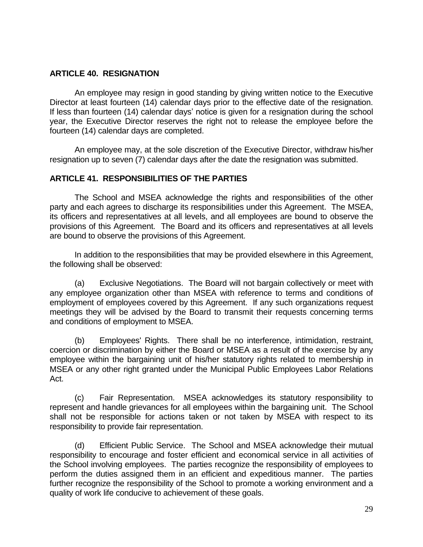#### <span id="page-28-0"></span>**ARTICLE 40. RESIGNATION**

An employee may resign in good standing by giving written notice to the Executive Director at least fourteen (14) calendar days prior to the effective date of the resignation. If less than fourteen (14) calendar days' notice is given for a resignation during the school year, the Executive Director reserves the right not to release the employee before the fourteen (14) calendar days are completed.

An employee may, at the sole discretion of the Executive Director, withdraw his/her resignation up to seven (7) calendar days after the date the resignation was submitted.

### <span id="page-28-1"></span>**ARTICLE 41. RESPONSIBILITIES OF THE PARTIES**

The School and MSEA acknowledge the rights and responsibilities of the other party and each agrees to discharge its responsibilities under this Agreement. The MSEA, its officers and representatives at all levels, and all employees are bound to observe the provisions of this Agreement. The Board and its officers and representatives at all levels are bound to observe the provisions of this Agreement.

In addition to the responsibilities that may be provided elsewhere in this Agreement, the following shall be observed:

(a) Exclusive Negotiations. The Board will not bargain collectively or meet with any employee organization other than MSEA with reference to terms and conditions of employment of employees covered by this Agreement. If any such organizations request meetings they will be advised by the Board to transmit their requests concerning terms and conditions of employment to MSEA.

(b) Employees' Rights. There shall be no interference, intimidation, restraint, coercion or discrimination by either the Board or MSEA as a result of the exercise by any employee within the bargaining unit of his/her statutory rights related to membership in MSEA or any other right granted under the Municipal Public Employees Labor Relations Act.

(c) Fair Representation. MSEA acknowledges its statutory responsibility to represent and handle grievances for all employees within the bargaining unit. The School shall not be responsible for actions taken or not taken by MSEA with respect to its responsibility to provide fair representation.

(d) Efficient Public Service. The School and MSEA acknowledge their mutual responsibility to encourage and foster efficient and economical service in all activities of the School involving employees. The parties recognize the responsibility of employees to perform the duties assigned them in an efficient and expeditious manner. The parties further recognize the responsibility of the School to promote a working environment and a quality of work life conducive to achievement of these goals.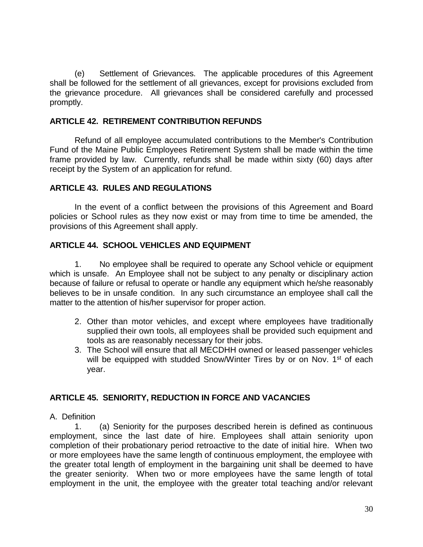(e) Settlement of Grievances. The applicable procedures of this Agreement shall be followed for the settlement of all grievances, except for provisions excluded from the grievance procedure. All grievances shall be considered carefully and processed promptly.

#### <span id="page-29-0"></span>**ARTICLE 42. RETIREMENT CONTRIBUTION REFUNDS**

Refund of all employee accumulated contributions to the Member's Contribution Fund of the Maine Public Employees Retirement System shall be made within the time frame provided by law. Currently, refunds shall be made within sixty (60) days after receipt by the System of an application for refund.

#### <span id="page-29-1"></span>**ARTICLE 43. RULES AND REGULATIONS**

In the event of a conflict between the provisions of this Agreement and Board policies or School rules as they now exist or may from time to time be amended, the provisions of this Agreement shall apply.

#### <span id="page-29-2"></span>**ARTICLE 44. SCHOOL VEHICLES AND EQUIPMENT**

1. No employee shall be required to operate any School vehicle or equipment which is unsafe. An Employee shall not be subject to any penalty or disciplinary action because of failure or refusal to operate or handle any equipment which he/she reasonably believes to be in unsafe condition. In any such circumstance an employee shall call the matter to the attention of his/her supervisor for proper action.

- 2. Other than motor vehicles, and except where employees have traditionally supplied their own tools, all employees shall be provided such equipment and tools as are reasonably necessary for their jobs.
- 3. The School will ensure that all MECDHH owned or leased passenger vehicles will be equipped with studded Snow/Winter Tires by or on Nov. 1<sup>st</sup> of each year.

#### <span id="page-29-3"></span>**ARTICLE 45. SENIORITY, REDUCTION IN FORCE AND VACANCIES**

#### A. Definition

1. (a) Seniority for the purposes described herein is defined as continuous employment, since the last date of hire. Employees shall attain seniority upon completion of their probationary period retroactive to the date of initial hire. When two or more employees have the same length of continuous employment, the employee with the greater total length of employment in the bargaining unit shall be deemed to have the greater seniority. When two or more employees have the same length of total employment in the unit, the employee with the greater total teaching and/or relevant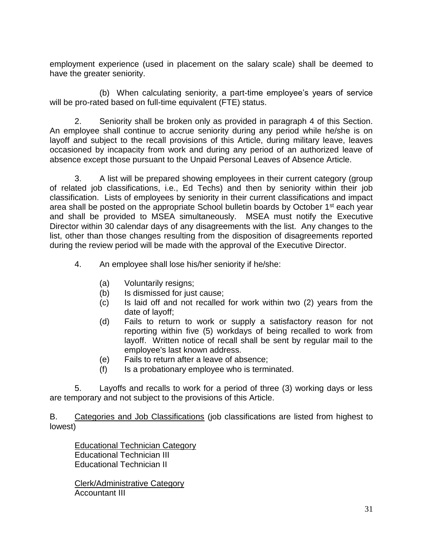employment experience (used in placement on the salary scale) shall be deemed to have the greater seniority.

(b) When calculating seniority, a part-time employee's years of service will be pro-rated based on full-time equivalent (FTE) status.

2. Seniority shall be broken only as provided in paragraph 4 of this Section. An employee shall continue to accrue seniority during any period while he/she is on layoff and subject to the recall provisions of this Article, during military leave, leaves occasioned by incapacity from work and during any period of an authorized leave of absence except those pursuant to the Unpaid Personal Leaves of Absence Article.

3. A list will be prepared showing employees in their current category (group of related job classifications, i.e., Ed Techs) and then by seniority within their job classification. Lists of employees by seniority in their current classifications and impact area shall be posted on the appropriate School bulletin boards by October 1<sup>st</sup> each year and shall be provided to MSEA simultaneously. MSEA must notify the Executive Director within 30 calendar days of any disagreements with the list. Any changes to the list, other than those changes resulting from the disposition of disagreements reported during the review period will be made with the approval of the Executive Director.

- 4. An employee shall lose his/her seniority if he/she:
	- (a) Voluntarily resigns;
	- (b) Is dismissed for just cause;
	- (c) Is laid off and not recalled for work within two (2) years from the date of layoff;
	- (d) Fails to return to work or supply a satisfactory reason for not reporting within five (5) workdays of being recalled to work from layoff. Written notice of recall shall be sent by regular mail to the employee's last known address.
	- (e) Fails to return after a leave of absence;
	- (f) Is a probationary employee who is terminated.

5. Layoffs and recalls to work for a period of three (3) working days or less are temporary and not subject to the provisions of this Article.

B. Categories and Job Classifications (job classifications are listed from highest to lowest)

Educational Technician Category Educational Technician III Educational Technician II

Clerk/Administrative Category Accountant III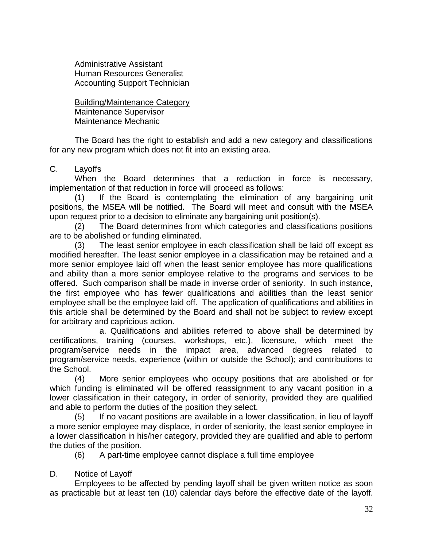Administrative Assistant Human Resources Generalist Accounting Support Technician

Building/Maintenance Category Maintenance Supervisor Maintenance Mechanic

The Board has the right to establish and add a new category and classifications for any new program which does not fit into an existing area.

### C. Layoffs

When the Board determines that a reduction in force is necessary, implementation of that reduction in force will proceed as follows:

(1) If the Board is contemplating the elimination of any bargaining unit positions, the MSEA will be notified. The Board will meet and consult with the MSEA upon request prior to a decision to eliminate any bargaining unit position(s).

(2) The Board determines from which categories and classifications positions are to be abolished or funding eliminated.

(3) The least senior employee in each classification shall be laid off except as modified hereafter. The least senior employee in a classification may be retained and a more senior employee laid off when the least senior employee has more qualifications and ability than a more senior employee relative to the programs and services to be offered. Such comparison shall be made in inverse order of seniority. In such instance, the first employee who has fewer qualifications and abilities than the least senior employee shall be the employee laid off. The application of qualifications and abilities in this article shall be determined by the Board and shall not be subject to review except for arbitrary and capricious action.

a. Qualifications and abilities referred to above shall be determined by certifications, training (courses, workshops, etc.), licensure, which meet the program/service needs in the impact area, advanced degrees related to program/service needs, experience (within or outside the School); and contributions to the School.

(4) More senior employees who occupy positions that are abolished or for which funding is eliminated will be offered reassignment to any vacant position in a lower classification in their category, in order of seniority, provided they are qualified and able to perform the duties of the position they select.

(5) If no vacant positions are available in a lower classification, in lieu of layoff a more senior employee may displace, in order of seniority, the least senior employee in a lower classification in his/her category, provided they are qualified and able to perform the duties of the position.

(6) A part-time employee cannot displace a full time employee

#### D. Notice of Layoff

Employees to be affected by pending layoff shall be given written notice as soon as practicable but at least ten (10) calendar days before the effective date of the layoff.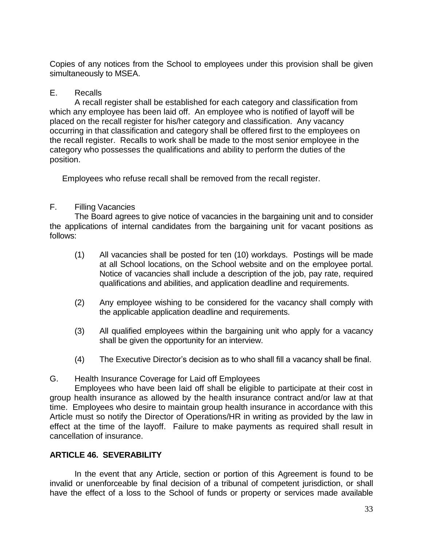Copies of any notices from the School to employees under this provision shall be given simultaneously to MSEA.

### E. Recalls

A recall register shall be established for each category and classification from which any employee has been laid off. An employee who is notified of layoff will be placed on the recall register for his/her category and classification. Any vacancy occurring in that classification and category shall be offered first to the employees on the recall register. Recalls to work shall be made to the most senior employee in the category who possesses the qualifications and ability to perform the duties of the position.

Employees who refuse recall shall be removed from the recall register.

### F. Filling Vacancies

The Board agrees to give notice of vacancies in the bargaining unit and to consider the applications of internal candidates from the bargaining unit for vacant positions as follows:

- (1) All vacancies shall be posted for ten (10) workdays. Postings will be made at all School locations, on the School website and on the employee portal. Notice of vacancies shall include a description of the job, pay rate, required qualifications and abilities, and application deadline and requirements.
- (2) Any employee wishing to be considered for the vacancy shall comply with the applicable application deadline and requirements.
- (3) All qualified employees within the bargaining unit who apply for a vacancy shall be given the opportunity for an interview.
- (4) The Executive Director's decision as to who shall fill a vacancy shall be final.

#### G. Health Insurance Coverage for Laid off Employees

Employees who have been laid off shall be eligible to participate at their cost in group health insurance as allowed by the health insurance contract and/or law at that time. Employees who desire to maintain group health insurance in accordance with this Article must so notify the Director of Operations/HR in writing as provided by the law in effect at the time of the layoff. Failure to make payments as required shall result in cancellation of insurance.

# <span id="page-32-0"></span>**ARTICLE 46. SEVERABILITY**

In the event that any Article, section or portion of this Agreement is found to be invalid or unenforceable by final decision of a tribunal of competent jurisdiction, or shall have the effect of a loss to the School of funds or property or services made available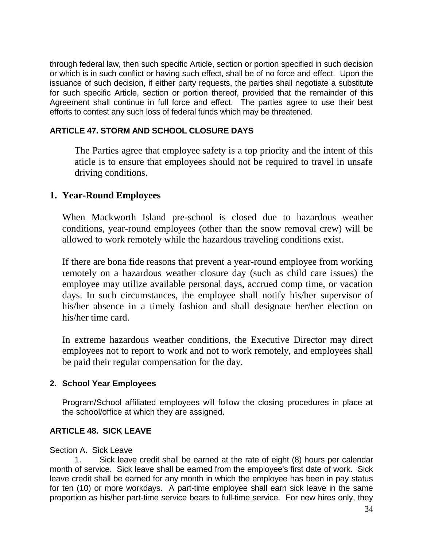through federal law, then such specific Article, section or portion specified in such decision or which is in such conflict or having such effect, shall be of no force and effect. Upon the issuance of such decision, if either party requests, the parties shall negotiate a substitute for such specific Article, section or portion thereof, provided that the remainder of this Agreement shall continue in full force and effect. The parties agree to use their best efforts to contest any such loss of federal funds which may be threatened.

# **ARTICLE 47. STORM AND SCHOOL CLOSURE DAYS**

The Parties agree that employee safety is a top priority and the intent of this aticle is to ensure that employees should not be required to travel in unsafe driving conditions.

# **1. Year-Round Employees**

When Mackworth Island pre-school is closed due to hazardous weather conditions, year-round employees (other than the snow removal crew) will be allowed to work remotely while the hazardous traveling conditions exist.

If there are bona fide reasons that prevent a year-round employee from working remotely on a hazardous weather closure day (such as child care issues) the employee may utilize available personal days, accrued comp time, or vacation days. In such circumstances, the employee shall notify his/her supervisor of his/her absence in a timely fashion and shall designate her/her election on his/her time card.

In extreme hazardous weather conditions, the Executive Director may direct employees not to report to work and not to work remotely, and employees shall be paid their regular compensation for the day.

# **2. School Year Employees**

Program/School affiliated employees will follow the closing procedures in place at the school/office at which they are assigned.

# <span id="page-33-0"></span>**ARTICLE 48. SICK LEAVE**

#### Section A. Sick Leave

1. Sick leave credit shall be earned at the rate of eight (8) hours per calendar month of service. Sick leave shall be earned from the employee's first date of work. Sick leave credit shall be earned for any month in which the employee has been in pay status for ten (10) or more workdays. A part-time employee shall earn sick leave in the same proportion as his/her part-time service bears to full-time service. For new hires only, they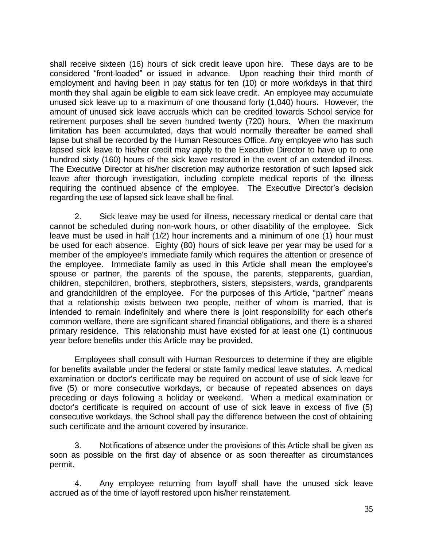shall receive sixteen (16) hours of sick credit leave upon hire. These days are to be considered "front-loaded" or issued in advance. Upon reaching their third month of employment and having been in pay status for ten (10) or more workdays in that third month they shall again be eligible to earn sick leave credit. An employee may accumulate unused sick leave up to a maximum of one thousand forty (1,040) hours**.** However, the amount of unused sick leave accruals which can be credited towards School service for retirement purposes shall be seven hundred twenty (720) hours. When the maximum limitation has been accumulated, days that would normally thereafter be earned shall lapse but shall be recorded by the Human Resources Office. Any employee who has such lapsed sick leave to his/her credit may apply to the Executive Director to have up to one hundred sixty (160) hours of the sick leave restored in the event of an extended illness. The Executive Director at his/her discretion may authorize restoration of such lapsed sick leave after thorough investigation, including complete medical reports of the illness requiring the continued absence of the employee.The Executive Director's decision regarding the use of lapsed sick leave shall be final.

2. Sick leave may be used for illness, necessary medical or dental care that cannot be scheduled during non-work hours, or other disability of the employee. Sick leave must be used in half (1/2) hour increments and a minimum of one (1) hour must be used for each absence. Eighty (80) hours of sick leave per year may be used for a member of the employee's immediate family which requires the attention or presence of the employee. Immediate family as used in this Article shall mean the employee's spouse or partner, the parents of the spouse, the parents, stepparents, guardian, children, stepchildren, brothers, stepbrothers, sisters, stepsisters, wards, grandparents and grandchildren of the employee.For the purposes of this Article, "partner" means that a relationship exists between two people, neither of whom is married, that is intended to remain indefinitely and where there is joint responsibility for each other's common welfare, there are significant shared financial obligations, and there is a shared primary residence. This relationship must have existed for at least one (1) continuous year before benefits under this Article may be provided.

Employees shall consult with Human Resources to determine if they are eligible for benefits available under the federal or state family medical leave statutes. A medical examination or doctor's certificate may be required on account of use of sick leave for five (5) or more consecutive workdays, or because of repeated absences on days preceding or days following a holiday or weekend. When a medical examination or doctor's certificate is required on account of use of sick leave in excess of five (5) consecutive workdays, the School shall pay the difference between the cost of obtaining such certificate and the amount covered by insurance.

3. Notifications of absence under the provisions of this Article shall be given as soon as possible on the first day of absence or as soon thereafter as circumstances permit.

4. Any employee returning from layoff shall have the unused sick leave accrued as of the time of layoff restored upon his/her reinstatement.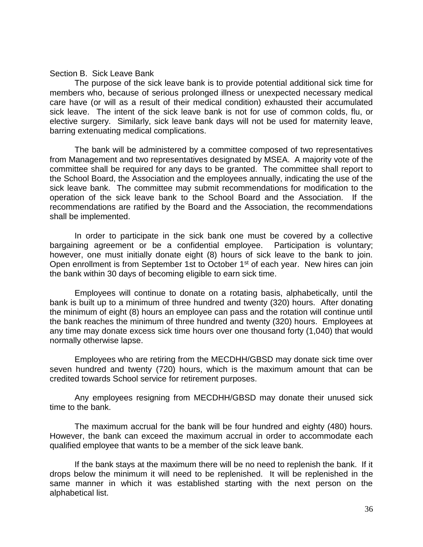#### Section B. Sick Leave Bank

The purpose of the sick leave bank is to provide potential additional sick time for members who, because of serious prolonged illness or unexpected necessary medical care have (or will as a result of their medical condition) exhausted their accumulated sick leave. The intent of the sick leave bank is not for use of common colds, flu, or elective surgery. Similarly, sick leave bank days will not be used for maternity leave, barring extenuating medical complications.

The bank will be administered by a committee composed of two representatives from Management and two representatives designated by MSEA. A majority vote of the committee shall be required for any days to be granted. The committee shall report to the School Board, the Association and the employees annually, indicating the use of the sick leave bank. The committee may submit recommendations for modification to the operation of the sick leave bank to the School Board and the Association. If the recommendations are ratified by the Board and the Association, the recommendations shall be implemented.

In order to participate in the sick bank one must be covered by a collective bargaining agreement or be a confidential employee. Participation is voluntary; however, one must initially donate eight (8) hours of sick leave to the bank to join. Open enrollment is from September 1st to October 1st of each year. New hires can join the bank within 30 days of becoming eligible to earn sick time.

Employees will continue to donate on a rotating basis, alphabetically, until the bank is built up to a minimum of three hundred and twenty (320) hours. After donating the minimum of eight (8) hours an employee can pass and the rotation will continue until the bank reaches the minimum of three hundred and twenty (320) hours. Employees at any time may donate excess sick time hours over one thousand forty (1,040) that would normally otherwise lapse.

Employees who are retiring from the MECDHH/GBSD may donate sick time over seven hundred and twenty (720) hours, which is the maximum amount that can be credited towards School service for retirement purposes.

Any employees resigning from MECDHH/GBSD may donate their unused sick time to the bank.

The maximum accrual for the bank will be four hundred and eighty (480) hours. However, the bank can exceed the maximum accrual in order to accommodate each qualified employee that wants to be a member of the sick leave bank.

If the bank stays at the maximum there will be no need to replenish the bank. If it drops below the minimum it will need to be replenished. It will be replenished in the same manner in which it was established starting with the next person on the alphabetical list.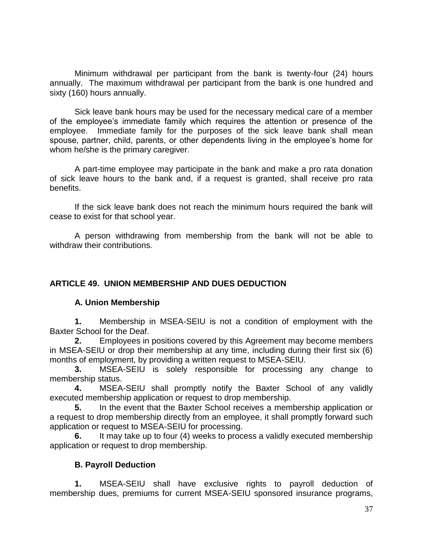Minimum withdrawal per participant from the bank is twenty-four (24) hours annually. The maximum withdrawal per participant from the bank is one hundred and sixty (160) hours annually.

Sick leave bank hours may be used for the necessary medical care of a member of the employee's immediate family which requires the attention or presence of the employee. Immediate family for the purposes of the sick leave bank shall mean spouse, partner, child, parents, or other dependents living in the employee's home for whom he/she is the primary caregiver.

A part-time employee may participate in the bank and make a pro rata donation of sick leave hours to the bank and, if a request is granted, shall receive pro rata benefits.

If the sick leave bank does not reach the minimum hours required the bank will cease to exist for that school year.

A person withdrawing from membership from the bank will not be able to withdraw their contributions.

#### **ARTICLE 49. UNION MEMBERSHIP AND DUES DEDUCTION**

#### **A. Union Membership**

**1.** Membership in MSEA-SEIU is not a condition of employment with the Baxter School for the Deaf.

**2.** Employees in positions covered by this Agreement may become members in MSEA-SEIU or drop their membership at any time, including during their first six (6) months of employment, by providing a written request to MSEA-SEIU.

**3.** MSEA-SEIU is solely responsible for processing any change to membership status.

**4.** MSEA-SEIU shall promptly notify the Baxter School of any validly executed membership application or request to drop membership.

**5.** In the event that the Baxter School receives a membership application or a request to drop membership directly from an employee, it shall promptly forward such application or request to MSEA-SEIU for processing.

**6.** It may take up to four (4) weeks to process a validly executed membership application or request to drop membership.

#### **B. Payroll Deduction**

 **1.** MSEA-SEIU shall have exclusive rights to payroll deduction of membership dues, premiums for current MSEA-SEIU sponsored insurance programs,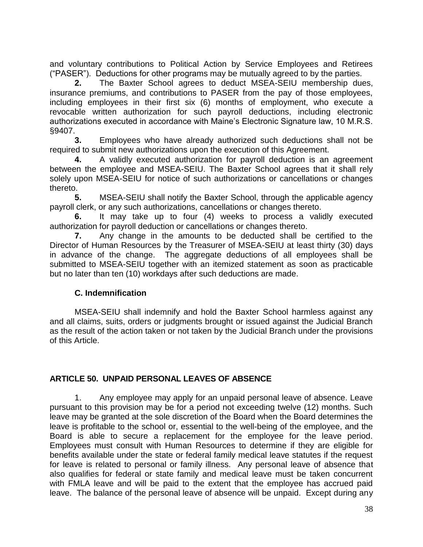and voluntary contributions to Political Action by Service Employees and Retirees ("PASER"). Deductions for other programs may be mutually agreed to by the parties.

 **2.** The Baxter School agrees to deduct MSEA-SEIU membership dues, insurance premiums, and contributions to PASER from the pay of those employees, including employees in their first six (6) months of employment, who execute a revocable written authorization for such payroll deductions, including electronic authorizations executed in accordance with Maine's Electronic Signature law, 10 M.R.S. §9407.

**3.** Employees who have already authorized such deductions shall not be required to submit new authorizations upon the execution of this Agreement.

**4.** A validly executed authorization for payroll deduction is an agreement between the employee and MSEA-SEIU. The Baxter School agrees that it shall rely solely upon MSEA-SEIU for notice of such authorizations or cancellations or changes thereto.

**5.** MSEA-SEIU shall notify the Baxter School, through the applicable agency payroll clerk, or any such authorizations, cancellations or changes thereto.

**6.** It may take up to four (4) weeks to process a validly executed authorization for payroll deduction or cancellations or changes thereto.

**7.** Any change in the amounts to be deducted shall be certified to the Director of Human Resources by the Treasurer of MSEA-SEIU at least thirty (30) days in advance of the change. The aggregate deductions of all employees shall be submitted to MSEA-SEIU together with an itemized statement as soon as practicable but no later than ten (10) workdays after such deductions are made.

# **C. Indemnification**

 MSEA-SEIU shall indemnify and hold the Baxter School harmless against any and all claims, suits, orders or judgments brought or issued against the Judicial Branch as the result of the action taken or not taken by the Judicial Branch under the provisions of this Article.

# <span id="page-37-0"></span>**ARTICLE 50. UNPAID PERSONAL LEAVES OF ABSENCE**

1. Any employee may apply for an unpaid personal leave of absence. Leave pursuant to this provision may be for a period not exceeding twelve (12) months. Such leave may be granted at the sole discretion of the Board when the Board determines the leave is profitable to the school or, essential to the well-being of the employee, and the Board is able to secure a replacement for the employee for the leave period. Employees must consult with Human Resources to determine if they are eligible for benefits available under the state or federal family medical leave statutes if the request for leave is related to personal or family illness. Any personal leave of absence that also qualifies for federal or state family and medical leave must be taken concurrent with FMLA leave and will be paid to the extent that the employee has accrued paid leave. The balance of the personal leave of absence will be unpaid. Except during any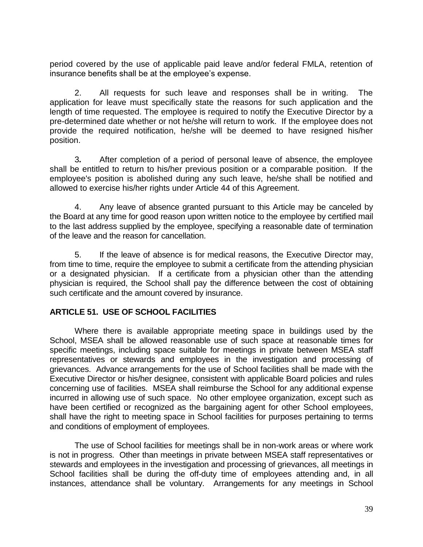period covered by the use of applicable paid leave and/or federal FMLA, retention of insurance benefits shall be at the employee's expense.

2. All requests for such leave and responses shall be in writing. The application for leave must specifically state the reasons for such application and the length of time requested. The employee is required to notify the Executive Director by a pre-determined date whether or not he/she will return to work. If the employee does not provide the required notification, he/she will be deemed to have resigned his/her position.

3*.* After completion of a period of personal leave of absence, the employee shall be entitled to return to his/her previous position or a comparable position. If the employee's position is abolished during any such leave, he/she shall be notified and allowed to exercise his/her rights under Article 44 of this Agreement.

4. Any leave of absence granted pursuant to this Article may be canceled by the Board at any time for good reason upon written notice to the employee by certified mail to the last address supplied by the employee, specifying a reasonable date of termination of the leave and the reason for cancellation.

5. If the leave of absence is for medical reasons, the Executive Director may, from time to time, require the employee to submit a certificate from the attending physician or a designated physician. If a certificate from a physician other than the attending physician is required, the School shall pay the difference between the cost of obtaining such certificate and the amount covered by insurance.

# <span id="page-38-0"></span>**ARTICLE 51. USE OF SCHOOL FACILITIES**

Where there is available appropriate meeting space in buildings used by the School, MSEA shall be allowed reasonable use of such space at reasonable times for specific meetings, including space suitable for meetings in private between MSEA staff representatives or stewards and employees in the investigation and processing of grievances. Advance arrangements for the use of School facilities shall be made with the Executive Director or his/her designee, consistent with applicable Board policies and rules concerning use of facilities. MSEA shall reimburse the School for any additional expense incurred in allowing use of such space. No other employee organization, except such as have been certified or recognized as the bargaining agent for other School employees, shall have the right to meeting space in School facilities for purposes pertaining to terms and conditions of employment of employees.

The use of School facilities for meetings shall be in non-work areas or where work is not in progress. Other than meetings in private between MSEA staff representatives or stewards and employees in the investigation and processing of grievances, all meetings in School facilities shall be during the off-duty time of employees attending and, in all instances, attendance shall be voluntary. Arrangements for any meetings in School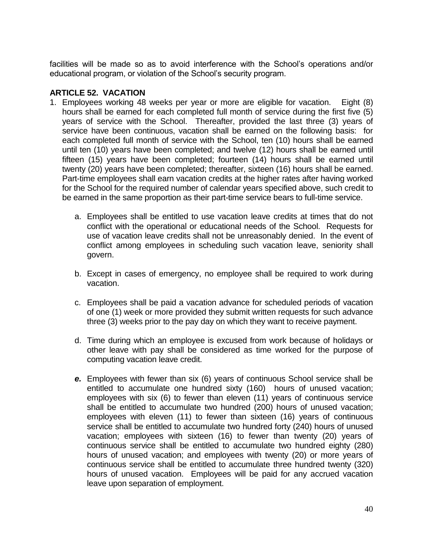facilities will be made so as to avoid interference with the School's operations and/or educational program, or violation of the School's security program.

#### <span id="page-39-0"></span>**ARTICLE 52. VACATION**

- 1. Employees working 48 weeks per year or more are eligible for vacation. Eight (8) hours shall be earned for each completed full month of service during the first five (5) years of service with the School. Thereafter, provided the last three (3) years of service have been continuous, vacation shall be earned on the following basis: for each completed full month of service with the School, ten (10) hours shall be earned until ten (10) years have been completed; and twelve (12) hours shall be earned until fifteen (15) years have been completed; fourteen (14) hours shall be earned until twenty (20) years have been completed; thereafter, sixteen (16) hours shall be earned. Part-time employees shall earn vacation credits at the higher rates after having worked for the School for the required number of calendar years specified above, such credit to be earned in the same proportion as their part-time service bears to full-time service.
	- a. Employees shall be entitled to use vacation leave credits at times that do not conflict with the operational or educational needs of the School. Requests for use of vacation leave credits shall not be unreasonably denied. In the event of conflict among employees in scheduling such vacation leave, seniority shall govern.
	- b. Except in cases of emergency, no employee shall be required to work during vacation.
	- c. Employees shall be paid a vacation advance for scheduled periods of vacation of one (1) week or more provided they submit written requests for such advance three (3) weeks prior to the pay day on which they want to receive payment.
	- d. Time during which an employee is excused from work because of holidays or other leave with pay shall be considered as time worked for the purpose of computing vacation leave credit.
	- *e.* Employees with fewer than six (6) years of continuous School service shall be entitled to accumulate one hundred sixty (160) hours of unused vacation; employees with six (6) to fewer than eleven (11) years of continuous service shall be entitled to accumulate two hundred (200) hours of unused vacation; employees with eleven (11) to fewer than sixteen (16) years of continuous service shall be entitled to accumulate two hundred forty (240) hours of unused vacation; employees with sixteen (16) to fewer than twenty (20) years of continuous service shall be entitled to accumulate two hundred eighty (280) hours of unused vacation; and employees with twenty (20) or more years of continuous service shall be entitled to accumulate three hundred twenty (320) hours of unused vacation. Employees will be paid for any accrued vacation leave upon separation of employment.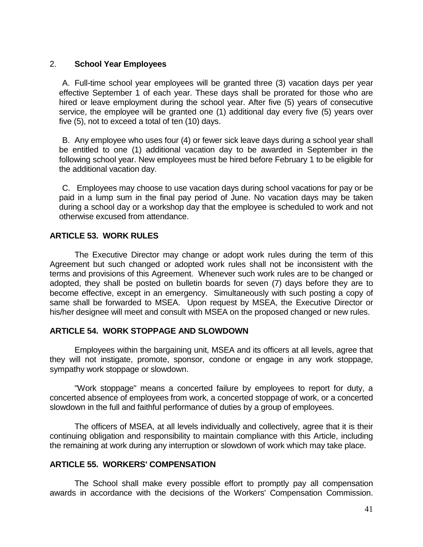#### 2. **School Year Employees**

A. Full-time school year employees will be granted three (3) vacation days per year effective September 1 of each year. These days shall be prorated for those who are hired or leave employment during the school year. After five (5) years of consecutive service, the employee will be granted one (1) additional day every five (5) years over five (5), not to exceed a total of ten (10) days.

B. Any employee who uses four (4) or fewer sick leave days during a school year shall be entitled to one (1) additional vacation day to be awarded in September in the following school year. New employees must be hired before February 1 to be eligible for the additional vacation day.

C. Employees may choose to use vacation days during school vacations for pay or be paid in a lump sum in the final pay period of June. No vacation days may be taken during a school day or a workshop day that the employee is scheduled to work and not otherwise excused from attendance.

#### <span id="page-40-0"></span>**ARTICLE 53. WORK RULES**

The Executive Director may change or adopt work rules during the term of this Agreement but such changed or adopted work rules shall not be inconsistent with the terms and provisions of this Agreement. Whenever such work rules are to be changed or adopted, they shall be posted on bulletin boards for seven (7) days before they are to become effective, except in an emergency. Simultaneously with such posting a copy of same shall be forwarded to MSEA. Upon request by MSEA, the Executive Director or his/her designee will meet and consult with MSEA on the proposed changed or new rules.

#### <span id="page-40-1"></span>**ARTICLE 54. WORK STOPPAGE AND SLOWDOWN**

Employees within the bargaining unit, MSEA and its officers at all levels, agree that they will not instigate, promote, sponsor, condone or engage in any work stoppage, sympathy work stoppage or slowdown.

"Work stoppage" means a concerted failure by employees to report for duty, a concerted absence of employees from work, a concerted stoppage of work, or a concerted slowdown in the full and faithful performance of duties by a group of employees.

The officers of MSEA, at all levels individually and collectively, agree that it is their continuing obligation and responsibility to maintain compliance with this Article, including the remaining at work during any interruption or slowdown of work which may take place.

### <span id="page-40-2"></span>**ARTICLE 55. WORKERS' COMPENSATION**

The School shall make every possible effort to promptly pay all compensation awards in accordance with the decisions of the Workers' Compensation Commission.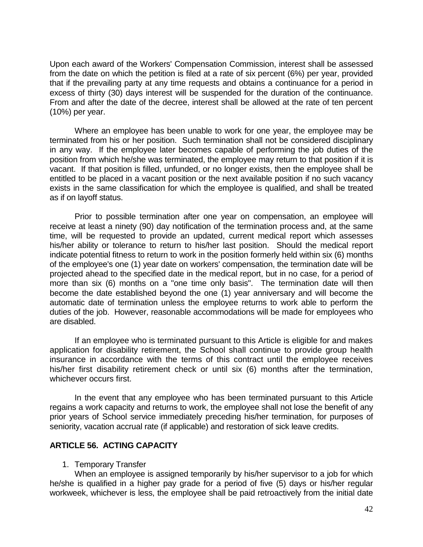Upon each award of the Workers' Compensation Commission, interest shall be assessed from the date on which the petition is filed at a rate of six percent (6%) per year, provided that if the prevailing party at any time requests and obtains a continuance for a period in excess of thirty (30) days interest will be suspended for the duration of the continuance. From and after the date of the decree, interest shall be allowed at the rate of ten percent (10%) per year.

Where an employee has been unable to work for one year, the employee may be terminated from his or her position. Such termination shall not be considered disciplinary in any way. If the employee later becomes capable of performing the job duties of the position from which he/she was terminated, the employee may return to that position if it is vacant. If that position is filled, unfunded, or no longer exists, then the employee shall be entitled to be placed in a vacant position or the next available position if no such vacancy exists in the same classification for which the employee is qualified, and shall be treated as if on layoff status.

Prior to possible termination after one year on compensation, an employee will receive at least a ninety (90) day notification of the termination process and, at the same time, will be requested to provide an updated, current medical report which assesses his/her ability or tolerance to return to his/her last position. Should the medical report indicate potential fitness to return to work in the position formerly held within six (6) months of the employee's one (1) year date on workers' compensation, the termination date will be projected ahead to the specified date in the medical report, but in no case, for a period of more than six (6) months on a "one time only basis". The termination date will then become the date established beyond the one (1) year anniversary and will become the automatic date of termination unless the employee returns to work able to perform the duties of the job. However, reasonable accommodations will be made for employees who are disabled.

If an employee who is terminated pursuant to this Article is eligible for and makes application for disability retirement, the School shall continue to provide group health insurance in accordance with the terms of this contract until the employee receives his/her first disability retirement check or until six (6) months after the termination, whichever occurs first.

In the event that any employee who has been terminated pursuant to this Article regains a work capacity and returns to work, the employee shall not lose the benefit of any prior years of School service immediately preceding his/her termination, for purposes of seniority, vacation accrual rate (if applicable) and restoration of sick leave credits.

#### <span id="page-41-0"></span>**ARTICLE 56. ACTING CAPACITY**

1. Temporary Transfer

When an employee is assigned temporarily by his/her supervisor to a job for which he/she is qualified in a higher pay grade for a period of five (5) days or his/her regular workweek, whichever is less, the employee shall be paid retroactively from the initial date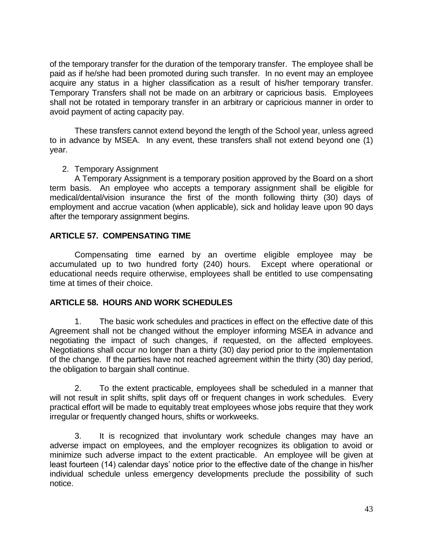of the temporary transfer for the duration of the temporary transfer. The employee shall be paid as if he/she had been promoted during such transfer. In no event may an employee acquire any status in a higher classification as a result of his/her temporary transfer. Temporary Transfers shall not be made on an arbitrary or capricious basis. Employees shall not be rotated in temporary transfer in an arbitrary or capricious manner in order to avoid payment of acting capacity pay.

These transfers cannot extend beyond the length of the School year, unless agreed to in advance by MSEA. In any event, these transfers shall not extend beyond one (1) year.

2. Temporary Assignment

A Temporary Assignment is a temporary position approved by the Board on a short term basis. An employee who accepts a temporary assignment shall be eligible for medical/dental/vision insurance the first of the month following thirty (30) days of employment and accrue vacation (when applicable), sick and holiday leave upon 90 days after the temporary assignment begins.

### <span id="page-42-0"></span>**ARTICLE 57. COMPENSATING TIME**

Compensating time earned by an overtime eligible employee may be accumulated up to two hundred forty (240) hours. Except where operational or educational needs require otherwise, employees shall be entitled to use compensating time at times of their choice.

#### <span id="page-42-1"></span>**ARTICLE 58. HOURS AND WORK SCHEDULES**

1. The basic work schedules and practices in effect on the effective date of this Agreement shall not be changed without the employer informing MSEA in advance and negotiating the impact of such changes, if requested, on the affected employees. Negotiations shall occur no longer than a thirty (30) day period prior to the implementation of the change. If the parties have not reached agreement within the thirty (30) day period, the obligation to bargain shall continue.

2. To the extent practicable, employees shall be scheduled in a manner that will not result in split shifts, split days off or frequent changes in work schedules. Every practical effort will be made to equitably treat employees whose jobs require that they work irregular or frequently changed hours, shifts or workweeks.

3. It is recognized that involuntary work schedule changes may have an adverse impact on employees, and the employer recognizes its obligation to avoid or minimize such adverse impact to the extent practicable. An employee will be given at least fourteen (14) calendar days' notice prior to the effective date of the change in his/her individual schedule unless emergency developments preclude the possibility of such notice.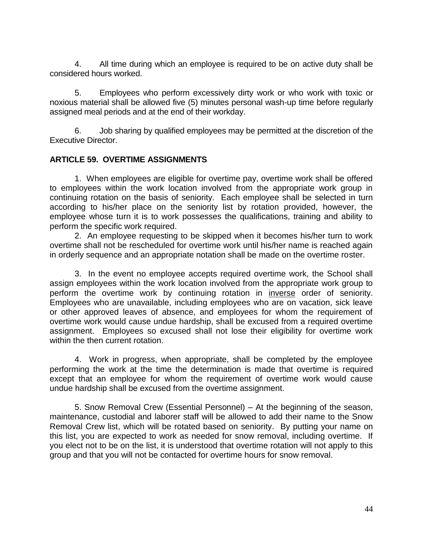4. All time during which an employee is required to be on active duty shall be considered hours worked.

5. Employees who perform excessively dirty work or who work with toxic or noxious material shall be allowed five (5) minutes personal wash-up time before regularly assigned meal periods and at the end of their workday.

6. Job sharing by qualified employees may be permitted at the discretion of the Executive Director.

### <span id="page-43-0"></span>**ARTICLE 59. OVERTIME ASSIGNMENTS**

1. When employees are eligible for overtime pay, overtime work shall be offered to employees within the work location involved from the appropriate work group in continuing rotation on the basis of seniority. Each employee shall be selected in turn according to his/her place on the seniority list by rotation provided, however, the employee whose turn it is to work possesses the qualifications, training and ability to perform the specific work required.

2. An employee requesting to be skipped when it becomes his/her turn to work overtime shall not be rescheduled for overtime work until his/her name is reached again in orderly sequence and an appropriate notation shall be made on the overtime roster.

3. In the event no employee accepts required overtime work, the School shall assign employees within the work location involved from the appropriate work group to perform the overtime work by continuing rotation in inverse order of seniority. Employees who are unavailable, including employees who are on vacation, sick leave or other approved leaves of absence, and employees for whom the requirement of overtime work would cause undue hardship, shall be excused from a required overtime assignment. Employees so excused shall not lose their eligibility for overtime work within the then current rotation.

4. Work in progress, when appropriate, shall be completed by the employee performing the work at the time the determination is made that overtime is required except that an employee for whom the requirement of overtime work would cause undue hardship shall be excused from the overtime assignment.

5. Snow Removal Crew (Essential Personnel) – At the beginning of the season, maintenance, custodial and laborer staff will be allowed to add their name to the Snow Removal Crew list, which will be rotated based on seniority. By putting your name on this list, you are expected to work as needed for snow removal, including overtime. If you elect not to be on the list, it is understood that overtime rotation will not apply to this group and that you will not be contacted for overtime hours for snow removal.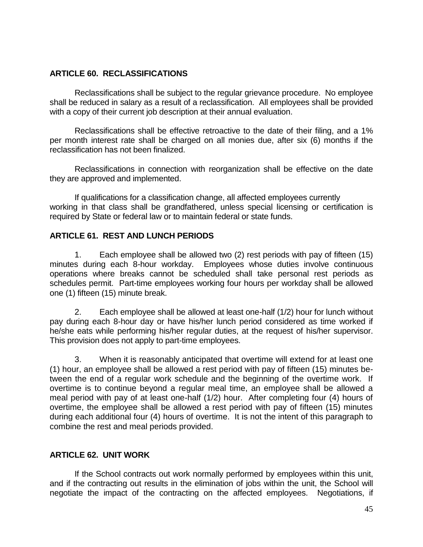#### <span id="page-44-0"></span>**ARTICLE 60. RECLASSIFICATIONS**

Reclassifications shall be subject to the regular grievance procedure. No employee shall be reduced in salary as a result of a reclassification. All employees shall be provided with a copy of their current job description at their annual evaluation.

Reclassifications shall be effective retroactive to the date of their filing, and a 1% per month interest rate shall be charged on all monies due, after six (6) months if the reclassification has not been finalized.

Reclassifications in connection with reorganization shall be effective on the date they are approved and implemented.

If qualifications for a classification change, all affected employees currently working in that class shall be grandfathered, unless special licensing or certification is required by State or federal law or to maintain federal or state funds.

### <span id="page-44-1"></span>**ARTICLE 61. REST AND LUNCH PERIODS**

1. Each employee shall be allowed two (2) rest periods with pay of fifteen (15) minutes during each 8-hour workday. Employees whose duties involve continuous operations where breaks cannot be scheduled shall take personal rest periods as schedules permit. Part-time employees working four hours per workday shall be allowed one (1) fifteen (15) minute break.

2. Each employee shall be allowed at least one-half (1/2) hour for lunch without pay during each 8-hour day or have his/her lunch period considered as time worked if he/she eats while performing his/her regular duties, at the request of his/her supervisor. This provision does not apply to part-time employees.

3. When it is reasonably anticipated that overtime will extend for at least one (1) hour, an employee shall be allowed a rest period with pay of fifteen (15) minutes between the end of a regular work schedule and the beginning of the overtime work. If overtime is to continue beyond a regular meal time, an employee shall be allowed a meal period with pay of at least one-half (1/2) hour. After completing four (4) hours of overtime, the employee shall be allowed a rest period with pay of fifteen (15) minutes during each additional four (4) hours of overtime. It is not the intent of this paragraph to combine the rest and meal periods provided.

# <span id="page-44-2"></span>**ARTICLE 62. UNIT WORK**

If the School contracts out work normally performed by employees within this unit, and if the contracting out results in the elimination of jobs within the unit, the School will negotiate the impact of the contracting on the affected employees. Negotiations, if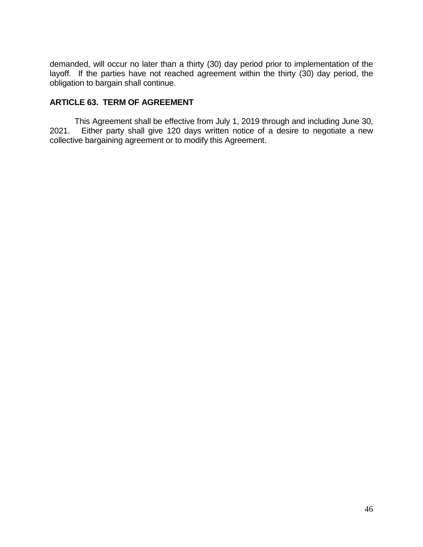demanded, will occur no later than a thirty (30) day period prior to implementation of the layoff. If the parties have not reached agreement within the thirty (30) day period, the obligation to bargain shall continue.

# <span id="page-45-0"></span>**ARTICLE 63. TERM OF AGREEMENT**

This Agreement shall be effective from July 1, 2019 through and including June 30, 2021. Either party shall give 120 days written notice of a desire to negotiate a new collective bargaining agreement or to modify this Agreement.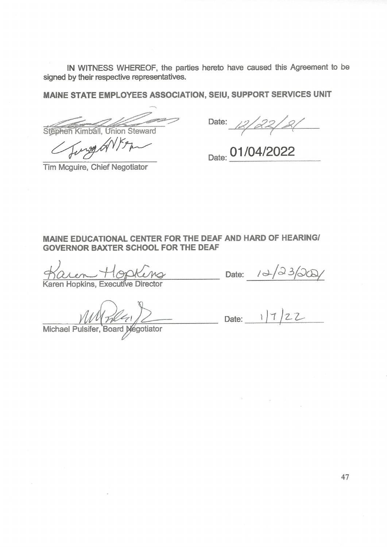IN WITNESS WHEREOF, the parties hereto have caused this Agreement to be signed by their respective representatives.

MAINE STATE EMPLOYEES ASSOCIATION, SEIU, SUPPORT SERVICES UNIT

**Stephen Kimball**, Union Steward Sung GNY

Date: 12/22/21

Date: 01/04/2022

Tim Mcguire, Chief Negotiator

#### MAINE EDUCATIONAL CENTER FOR THE DEAF AND HARD OF HEARING! **GOVERNOR BAXTER SCHOOL FOR THE DEAF**

aren Hopking

Date:  $10\sqrt{23}/20$ 

 $MVMN22$ <br>Michael Pulsifer, Board Negotiator Date: 1/7/22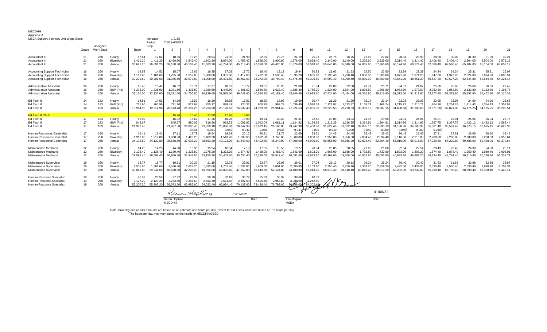#### MECDHH Appendix A

| MSEA Support Services Unit Wage Scale |                 |                  |           |               | Increase  | 1.0165         |               |                |           |            |             |           |                    |                      |           |           |                     |           |           |           |           |           |           |           |           |
|---------------------------------------|-----------------|------------------|-----------|---------------|-----------|----------------|---------------|----------------|-----------|------------|-------------|-----------|--------------------|----------------------|-----------|-----------|---------------------|-----------|-----------|-----------|-----------|-----------|-----------|-----------|-----------|
|                                       |                 |                  |           |               | Period:   | 7/1/21-6/30/22 |               |                |           |            |             |           |                    |                      |           |           |                     |           |           |           |           |           |           |           |           |
|                                       |                 | Assigned         |           |               | Step      |                |               |                |           |            |             |           |                    |                      |           |           |                     |           |           |           |           |           |           |           |           |
|                                       | Grade           | <b>Work Days</b> |           | Base          |           |                | 3             |                | -5        | 6          |             |           | <b>q</b>           | 10 <sup>1</sup>      | 11        | 12        | 13                  | 14        | 15        | 16        | 17        | 18        | 19        | 20        | 21        |
| Accountant II                         | 21              | 260              | Hourly    | 17.64         | 17.64     | 18.36          | 19.28         | 20.04          | 21.05     | 21.98      | 22.85       | 23.76     | 24.70              | 25.73                | 26.75     | 26.75     | 27.82               | 27.82     | 28.93     | 28.93     | 30.08     | 30.08     | 31.30     | 31.30     | 32.24     |
| Accountant II                         | 21              | 260              | Biweekly  | 1,411.20      | 1,411.20  | 1,468.80       | 1,542.40      | 1,603.20       | 1,684.00  | 1,758.40   | 1,828.00    | 1,900.80  | 1,976.00           | 2,058.40             | 2,140.00  | 2,140.00  | 2,225.60            | 2.225.60  | 2.314.40  | 2.314.40  | 2.406.40  | 2.406.40  | 2,504.00  | 2.504.00  | 2.579.12  |
| Accountant II                         | 21              | 260              | Annual    | 36,691.20     | 36,691.20 | 38,188.80      | 40,102.40     | 41,683.20      | 43,784.00 | 45,718.40  | 47,528.00   | 49,420.80 | 51,376.00          | 53,518.40            | 55,640.00 | 55,640.00 | 57,865.60           | 57,865.60 | 60,174.40 | 60,174.40 | 62,566.40 | 62.566.40 | 65,104.00 | 65,104.00 | 67,057.12 |
| <b>Accounting Support Technician</b>  | 16              | 260              | Hourly    | 14.52         | 14.52     | 15.07          | 15.66         | 16.35          | 17.02     | 17.72      | 18.40       | 19.13     | 19.94              | 20.82                | 21.63     | 21.63     | 22.50               | 22.50     | 23.39     | 23.39     | 24.34     | 24.34     | 25.31     | 25.3      | 26.07     |
| <b>Accounting Support Technician</b>  | 16              | 260              | Biweekly  | 1,161.60      | 1,161.60  | 1,205.60       | 1,252.80      | 1,308.00       | 1,361.60  | 1,417.60   | 1,472.00    | 1,530.40  | 1,595.20           | 1,665.60             | 1,730.40  | 1,730.40  | 1,800.00            | 1,800.00  | 1,871.20  | 1,871.20  | 1.947.20  | 1,947.20  | 2,024.80  | 2,024.80  | 2,085.54  |
| <b>Accounting Support Technician</b>  | 16              | 260              | Annual    | 30,201.60     | 30,201.60 | 31,345.60      | 32,572.80     | 34,008.00      | 35,401.60 | 36,857.60  | 38,272.00   | 39,790.40 | 41,475.20          | 43,305.60            | 44,990.40 | 44,990.40 | 46,800.00           | 46,800.00 | 48,651.20 | 48,651.20 | 50,627.20 | 50,627.20 | 52,644.80 | 52,644.80 | 54,224.14 |
|                                       |                 |                  |           |               |           |                |               |                |           |            |             |           |                    |                      |           |           |                     |           |           |           |           |           |           |           |           |
| Administrative Assistant              | 16              | 260              | Hourly    | 15.45         | 15.45     | 16.02          | 16.71         | 17.37          | 18.0      | 18.77      | 19.51       | 20.28     | 21.08              | 21.94                | 22.80     | 22.80     | 23.71               | 23.7      | 24.67     | 24.67     | 25.66     | 25.66     | 26.66     | 26.66     | 27.46     |
| Administrative Assistant              | 16              | 260              | BiW (Pro) | 1,236.00      | 1,236.00  | 1,281.60       | 1,336.80      | 1,389.60       | 1.445.60  | 1,501.60   | 1,560.80    | 1,622.40  | 1,686.40           | 1,755.20             | 1.824.00  | 1,824.00  | 1,896.80            | 1.896.80  | 1,973.60  | 1,973.60  | 2,052.80  | 2,052.80  | 2,132.80  | 2,132.80  | 2,196.78  |
| Administrative Assistant              | 16              | 260              | Annual    | 32,136.00     | 32,136.00 | 33,321.60      | 34,756.80     | 36,129.60      | 37,585.60 | 39,041.60  | 40,580.80   | 42,182.40 | 43,846.40          | 45,635.20            | 47,424.00 | 47,424.00 | 49,316.80           | 49.316.80 | 51,313.60 | 51,313.60 | 53,372.80 | 53,372.80 | 55,452.80 | 55,452.80 | 57,116.38 |
| Ed Tech II                            | 14              | 183              | Hourly    | 14.51         | 14.51     | 14.99          | 15.59         | 16.20          | 16.85     | 17.5'      | 18.20       | 18.93     | 19.69              | 20.47                | 21.29     | 21.29     | 22.14               | 22.1      | 23.03     | 23.03     | 23.95     | 23.95     | 24.90     | 24.90     | 25.65     |
| Ed Tech II                            | 14              | 183              | BiW (Pro) | 765.96        | 765.96    | 791.30         | 822.97        | 855.17         | 889.49    | 924.33     | 960.75      | 999.29    | 1,039.40           | 1,080.58             | 1,123.87  | 1,123.87  | 1.168.74            | 1.168.74  | 1,215.72  | 1,215.72  | 1.264.28  | 1.264.28  | 1.314.43  | 1,314.43  | 1.353.87  |
| Ed Tech II                            | 14              | 183              | Annual    | 19.914.98     | 19.914.98 | 20,573.78      | 21,397.28     | 22,234.50      | 23,126.63 | 24,032.48  | 24,979.50   | 25,981.43 | 27,024.53          | 28,095.08            | 29,220.53 | 29,220.53 | 30,387.15 30,387.15 |           | 31,608.68 | 31,608.68 | 32,871.38 | 32,871.38 | 34,175.25 | 34,175.25 | 35,200.51 |
| Ed Tech III 20-21                     |                 |                  |           |               |           | 15.76          | 16.40         | 17.08          | 17.96     | 18.67      |             |           |                    |                      |           |           |                     |           |           |           |           |           |           |           |           |
| Ed Tech III                           | 17              | 183              | Hourly    | 16.02         |           | 16.02          | 16.6          | 17.36          | 18.26     | 18.98      | 19.74       | 20.48     | 21.31              | 22.15                | 23.04     | 23.04     | 23.96               | 23.96     | 24.91     | 24.9      | 25.91     | 25.9      | 26.94     | 26.9      | 27.75     |
| Ed Tech III                           | 17              | 183              | BiW (Pro) | 845.67        |           | 845.67         | 880.02        | 916.50         | 963.72    | 1,001.82   | 1,042.04    | 1,081.11  | 1,124.92           | 1,169.26             | 1,216.25  | 1,216.25  | 1,264.81            | 1,264.8   | 1,314.96  | 1,314.96  | 1,367.75  | 1,367.75  | 1,422.12  | 1,422.12  | 1,562.44  |
| Ed Tech III                           | 17              | 183              | Annual    | 21.987.45     |           | 21.987.50      | 22,880.40     | 23,829.10      | 25.056.83 | 26,047.38  | 27,093.15   | 28,108.80 | 29.247.98          | 30,400.88            | 31.622.40 | 31,622.40 | 32.885.10           | 32.885.10 | 34.188.98 | 34.188.98 | 35.561.48 | 35,561.48 | 36.975.15 | 36.975.15 | 40.623.36 |
|                                       |                 |                  |           |               |           |                | 0.04          | $0.04^{\circ}$ | 0.05      | 0.040      | 0.040       | 0.037     | 0.04               | 0.039                | 0.040     | 0.000     | 0.040               | 0.000     | 0.040     | 0.000     | 0.040     |           |           |           |           |
| Human Resources Generalist            |                 | 260              | Hourly    | 16.41         | 16.41     | 17.1           | 17.79         | 18.54          | 19.29     | 20.12      | 20.9'       | 21.75     | 22.60              | 23.5'                | 24.45     | 24.45     | 25.43               | 25.43     | 26.45     | 26.45     | 27.51     | 27.5'     | 28.60     | 28.60     | 29.46     |
| Human Resources Generalist            | 17              | 260              | Biweekly  | 1,312.80      | 1,312.80  | 1,368.80       | 1,423.20      | 1,483.20       | 1,543.20  | 1,609.60   | 1,672.80    | 1,740.00  | 1,808.00           | 1,880.80             | 1,956.00  | 1,956.00  | 2,034.40            | 2.034.40  | 2,116.00  | 2,116.00  | 2,200.80  | 2,200.80  | 2,288.00  | 2,288.00  | 2,356.64  |
| Human Resources Generalist            | 17              | 260              | Annual    | 34,132.80     | 34,132.80 | 35,588.80      | 37,003.20     | 38,563.20      | 40,123.20 | 41,849.60  | 43.492.80   | 45,240.00 | 47,008.00          | 48.900.80            | 50,856.00 | 50,856.00 | 52.894.40           | 52.894.40 | 55,016.00 | 55,016.00 | 57,220.80 | 57,220.80 | 59,488.00 | 59,488.00 | 61,272.64 |
|                                       |                 |                  |           |               |           |                |               |                |           |            |             |           |                    |                      |           |           |                     |           |           |           |           |           |           |           |           |
| Maintenance Mechanic                  | 12 <sup>2</sup> | 260              | Hourly    | 14.23         | 14.23     | 14.88          | 15.36         | 15.94          | 16.54     | 17.18      | 17.85       | 18.53     | 19.27              | 20.04                | 20.85     | 20.85     | 21.66               | 21.66     | 22.54     | 22.54     | 23.43     | 23.43     | 24.38     | 24.38     | 25.1      |
| Maintenance Mechanic                  | 12 <sup>2</sup> | 260              | Biweekly  | 1.138.40      | 1,138.40  | 1.190.40       | 1,228.80      | 1,275.20       | 1,323.20  | 1,374.40   | 1,428.00    | 1.482.40  | 1,541.60           | 1,603.20             | 1.668.00  | 1,668.00  | 1,732.80            | 1,732.80  | 1,803.20  | 1,803.20  | 1.874.40  | 1.874.40  | 1,950.40  | 1,950.40  | 2,008.91  |
| Maintenance Mechanic                  | 12              | 260              | Annual    | 29.598.40     | 29.598.40 | 30.950.40      | 31,948.80     | 33,155.20      | 34.403.20 | 35,734.40  | 37,128.00   | 38,542.40 | 40.081.60          | 41,683.20            | 43.368.00 | 43.368.00 | 45.052.80           | 45.052.80 | 46.883.20 | 46.883.20 | 48.734.40 | 48.734.40 | 50.710.40 | 50.710.40 | 52,231.71 |
| Maintenance Supervisor                | 19              | 260              | Hourly    | 18.77         | 18.77     | 19.5'          | 20.29         | 21.15          | 22.03     | 22.91      | 23.87       | 25.06     | 26.01              | 27.04                | 28.13     | 28.13     | 29.24               | 29.24     | 30.40     | 30.40     | 31.63     | 31.63     | 32.88     | 32.88     | 33.87     |
| Maintenance Supervisor                | 19              | 260              | Biweekly  | 1.501.60      | 1.501.60  | 1.560.80       | 1,623.20      | 1,692.00       | 1,762.40  | 1,832.80   | 1,909.60    | 2,004.80  | 2,080.80           | 2,163.20             | 2.250.40  | 2.250.40  | 2.339.20            | 2.339.20  | 2.432.00  | 2.432.00  | 2.530.40  | 2.530.40  | 2.630.40  | 2,630.40  | 2.709.31  |
| Maintenance Supervisor                | 19              | 260              | Annual    | 39.041.60     | 39.041.60 | 40.580.80      | 42.203.20     | 43.992.00      | 45.822.40 | 47.652.80  | 49.649.60   | 52,124.80 | 54.100.80          | 56.243.20            | 58.510.40 | 58.510.40 | 60.819.20           | 60.819.20 | 63.232.00 | 63.232.00 | 65.790.40 | 65.790.40 | 68.390.40 | 68.390.40 | 70.442.11 |
|                                       |                 |                  |           |               |           |                |               |                |           |            |             |           |                    |                      |           |           |                     |           |           |           |           |           |           |           |           |
| Human Resource Specialist             | 19              | 260              | Hourly    | 26.59         | 26.59     | 27.92          | 29.32         | 30.78          | 32.18     | 33.72      | 35.33       | 36.92     | 38.60              | 40.53                |           |           |                     |           |           |           |           |           |           |           |           |
| Human Resource Specialist             | 19              | 260              | Biweekly  | 2,127.20      | 2,127.20  | 2,233.60       | 2,345.60      | 2,462.40       | 2,574.40  | 2,697.60   | 2,826.40    | 2,953.60  | 3,088.00           | 3,242.40             |           |           |                     |           |           |           |           |           |           |           |           |
| Human Resource Specialist             | 19              | 260              | Annual    | 55,307.20     | 55.307.20 | 58.073.60      | 60.985.60     | 64.022.40      | 66.934.40 | 70.137.60  | 73.486.40   | 76.793.60 |                    | 80-288.00-184.302.40 |           |           |                     |           |           |           |           |           |           |           |           |
|                                       |                 |                  |           |               |           |                |               |                |           |            |             |           |                    |                      |           |           |                     |           |           |           |           |           |           |           |           |
|                                       |                 |                  |           |               |           |                | Karin Hopkins |                |           | 12/17/2021 |             |           | 01/06/22           |                      |           |           |                     |           |           |           |           |           |           |           |           |
|                                       |                 |                  |           |               |           | Karen Hopkins  |               |                |           |            | Date        |           | <b>Tim Mcguire</b> |                      |           |           |                     | Date      |           |           |           |           |           |           |           |
|                                       |                 |                  |           | <b>MECDHH</b> |           |                |               |                |           |            | <b>MSEA</b> |           |                    |                      |           |           |                     |           |           |           |           |           |           |           |           |

Note: Biweekly and annual amounts are based on an estimate of 8 hours per day, except for Ed Techs which are based on 7.5 hours per day The hours per day may vary based on the needs of MECDHH/GBSD